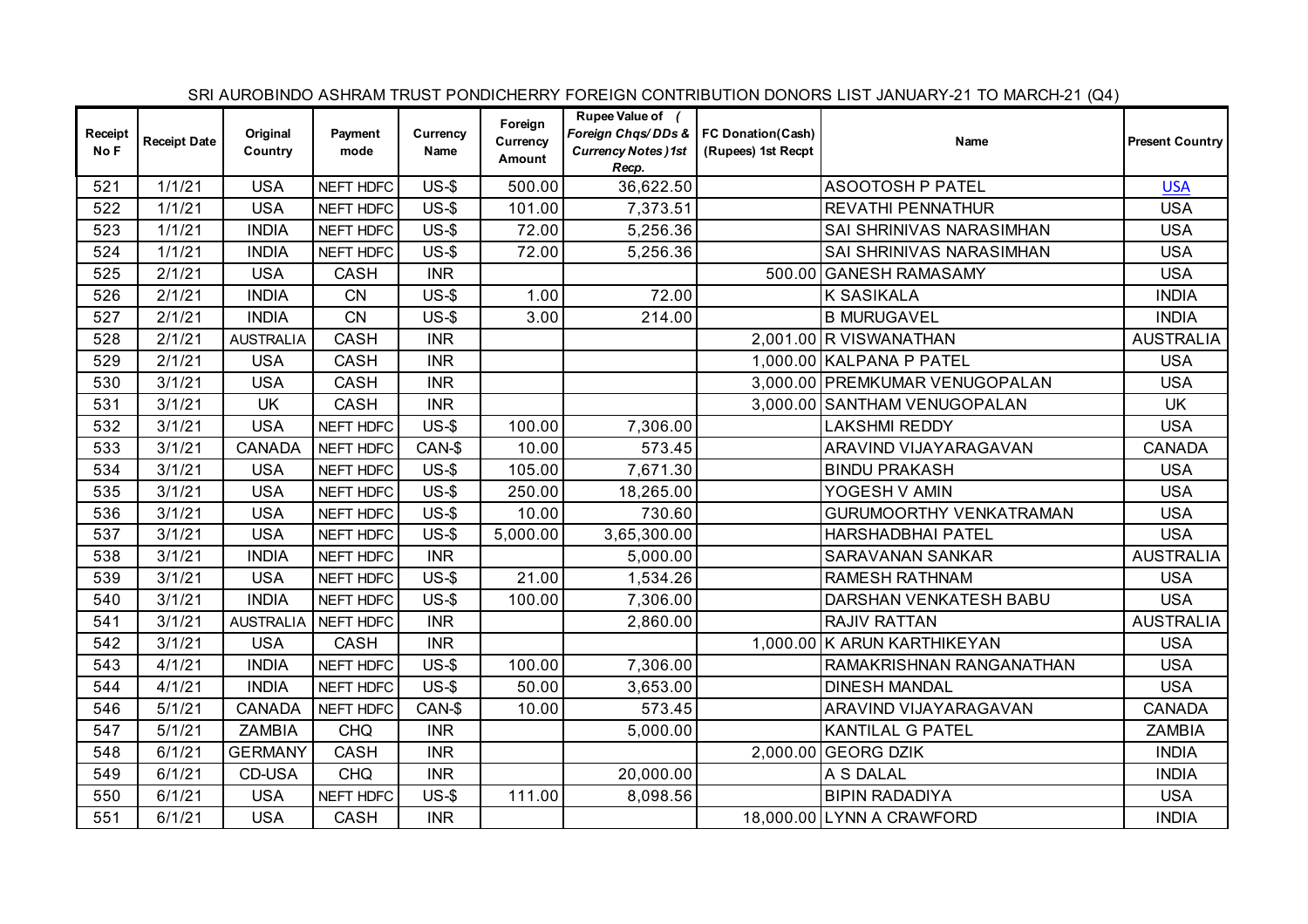|                 |                     |                     |                 |                  |                               |                                                                                                  |                    | SRI AUROBINDO ASHRAM TRUST PONDICHERRY FOREIGN CONTRIBUTION DONORS LIST JANUARY-21 TO MARCH-21 (Q4) |                        |
|-----------------|---------------------|---------------------|-----------------|------------------|-------------------------------|--------------------------------------------------------------------------------------------------|--------------------|-----------------------------------------------------------------------------------------------------|------------------------|
| Receipt<br>No F | <b>Receipt Date</b> | Original<br>Country | Payment<br>mode | Currency<br>Name | Foreign<br>Currency<br>Amount | Rupee Value of (<br>Foreign Chas/DDs &   FC Donation(Cash)<br><b>Currency Notes)1st</b><br>Recp. | (Rupees) 1st Recpt | Name                                                                                                | <b>Present Country</b> |
| 521             | 1/1/21              | <b>USA</b>          | NEFT HDFC       | $US-5$           | 500.00                        | 36,622.50                                                                                        |                    | <b>ASOOTOSH P PATEL</b>                                                                             | <b>USA</b>             |
| 522             | 1/1/21              | <b>USA</b>          | NEFT HDFC       | $US-5$           | 101.00                        | 7,373.51                                                                                         |                    | REVATHI PENNATHUR                                                                                   | <b>USA</b>             |
| 523             | 1/1/21              | <b>INDIA</b>        | NEFT HDFC       | $US-5$           | 72.00                         | 5,256.36                                                                                         |                    | SAI SHRINIVAS NARASIMHAN                                                                            | <b>USA</b>             |
| 524             | 1/1/21              | <b>INDIA</b>        | NEFT HDFC       | $US-5$           | 72.00                         | 5,256.36                                                                                         |                    | SAI SHRINIVAS NARASIMHAN                                                                            | <b>USA</b>             |
| 525             | 2/1/21              | <b>USA</b>          | <b>CASH</b>     | <b>INR</b>       |                               |                                                                                                  |                    | 500.00 GANESH RAMASAMY                                                                              | <b>USA</b>             |
| 526             | 2/1/21              | <b>INDIA</b>        | CN              | $US-$$           | 1.00                          | 72.00                                                                                            |                    | <b>K SASIKALA</b>                                                                                   | <b>INDIA</b>           |
| 527             | 2/1/21              | <b>INDIA</b>        | <b>CN</b>       | $US-5$           | 3.00                          | 214.00                                                                                           |                    | <b>B MURUGAVEL</b>                                                                                  | <b>INDIA</b>           |
| 528             | 2/1/21              | <b>AUSTRALIA</b>    | CASH            | <b>INR</b>       |                               |                                                                                                  |                    | 2,001.00 R VISWANATHAN                                                                              | <b>AUSTRALIA</b>       |
| 529             | 2/1/21              | <b>USA</b>          | CASH            | <b>INR</b>       |                               |                                                                                                  |                    | 1,000.00 KALPANA P PATEL                                                                            | <b>USA</b>             |
| 530             | 3/1/21              | <b>USA</b>          | CASH            | <b>INR</b>       |                               |                                                                                                  |                    | 3,000.00 PREMKUMAR VENUGOPALAN                                                                      | <b>USA</b>             |
| 531             | 3/1/21              | UK                  | CASH            | <b>INR</b>       |                               |                                                                                                  |                    | 3,000.00 SANTHAM VENUGOPALAN                                                                        | UK                     |
| 532             | 3/1/21              | <b>USA</b>          | NEFT HDFC       | $US-5$           | 100.00                        | 7,306.00                                                                                         |                    | <b>LAKSHMI REDDY</b>                                                                                | <b>USA</b>             |
| 533             | 3/1/21              | <b>CANADA</b>       | NEFT HDFC       | CAN-\$           | 10.00                         | 573.45                                                                                           |                    | ARAVIND VIJAYARAGAVAN                                                                               | <b>CANADA</b>          |
| 534             | 3/1/21              | <b>USA</b>          | NEFT HDFC       | $US-5$           | 105.00                        | 7,671.30                                                                                         |                    | <b>BINDU PRAKASH</b>                                                                                | <b>USA</b>             |
| 535             | 3/1/21              | <b>USA</b>          | NEFT HDFC       | $US-5$           | 250.00                        | 18,265.00                                                                                        |                    | YOGESH V AMIN                                                                                       | <b>USA</b>             |
| 536             | 3/1/21              | <b>USA</b>          | NEFT HDFC       | $US-$ \$         | 10.00                         | 730.60                                                                                           |                    | GURUMOORTHY VENKATRAMAN                                                                             | <b>USA</b>             |
| 537             | 3/1/21              | <b>USA</b>          | NEFT HDFC       | $US-5$           | 5,000.00                      | 3,65,300.00                                                                                      |                    | <b>HARSHADBHAI PATEL</b>                                                                            | <b>USA</b>             |
| 538             | 3/1/21              | <b>INDIA</b>        | NEFT HDFC       | <b>INR</b>       |                               | 5,000.00                                                                                         |                    | SARAVANAN SANKAR                                                                                    | <b>AUSTRALIA</b>       |
| 539             | 3/1/21              | <b>USA</b>          | NEFT HDFC       | $US-$$           | 21.00                         | 1,534.26                                                                                         |                    | RAMESH RATHNAM                                                                                      | <b>USA</b>             |
| 540             | 3/1/21              | <b>INDIA</b>        | NEFT HDFC       | $US-5$           | 100.00                        | 7,306.00                                                                                         |                    | DARSHAN VENKATESH BABU                                                                              | <b>USA</b>             |
| 541             | 3/1/21              | <b>AUSTRALIA</b>    | NEFT HDFC       | INR              |                               | 2,860.00                                                                                         |                    | <b>RAJIV RATTAN</b>                                                                                 | <b>AUSTRALIA</b>       |
| 542             | 3/1/21              | <b>USA</b>          | CASH            | <b>INR</b>       |                               |                                                                                                  |                    | 1,000.00 K ARUN KARTHIKEYAN                                                                         | <b>USA</b>             |
| 543             | 4/1/21              | <b>INDIA</b>        | NEFT HDFC       | $US-5$           | 100.00                        | 7,306.00                                                                                         |                    | RAMAKRISHNAN RANGANATHAN                                                                            | <b>USA</b>             |
| 544             | 4/1/21              | <b>INDIA</b>        | NEFT HDFC       | $US-5$           | 50.00                         | 3,653.00                                                                                         |                    | <b>DINESH MANDAL</b>                                                                                | <b>USA</b>             |
| 546             | 5/1/21              | <b>CANADA</b>       | NEFT HDFC       | CAN-\$           | 10.00                         | 573.45                                                                                           |                    | ARAVIND VIJAYARAGAVAN                                                                               | <b>CANADA</b>          |
| 547             | 5/1/21              | <b>ZAMBIA</b>       | <b>CHQ</b>      | <b>INR</b>       |                               | 5,000.00                                                                                         |                    | <b>KANTILAL G PATEL</b>                                                                             | <b>ZAMBIA</b>          |
| 548             | 6/1/21              | <b>GERMANY</b>      | CASH            | <b>INR</b>       |                               |                                                                                                  |                    | 2,000.00 GEORG DZIK                                                                                 | <b>INDIA</b>           |
| 549             | 6/1/21              | CD-USA              | <b>CHQ</b>      | <b>INR</b>       |                               | 20,000.00                                                                                        |                    | A S DALAL                                                                                           | <b>INDIA</b>           |
| 550             | 6/1/21              | <b>USA</b>          | NEFT HDFC       | $US-$ \$         | 111.00                        | 8,098.56                                                                                         |                    | <b>BIPIN RADADIYA</b>                                                                               | <b>USA</b>             |
| 551             | 6/1/21              | <b>USA</b>          | CASH            | <b>INR</b>       |                               |                                                                                                  |                    | 18,000.00 LYNN A CRAWFORD                                                                           | <b>INDIA</b>           |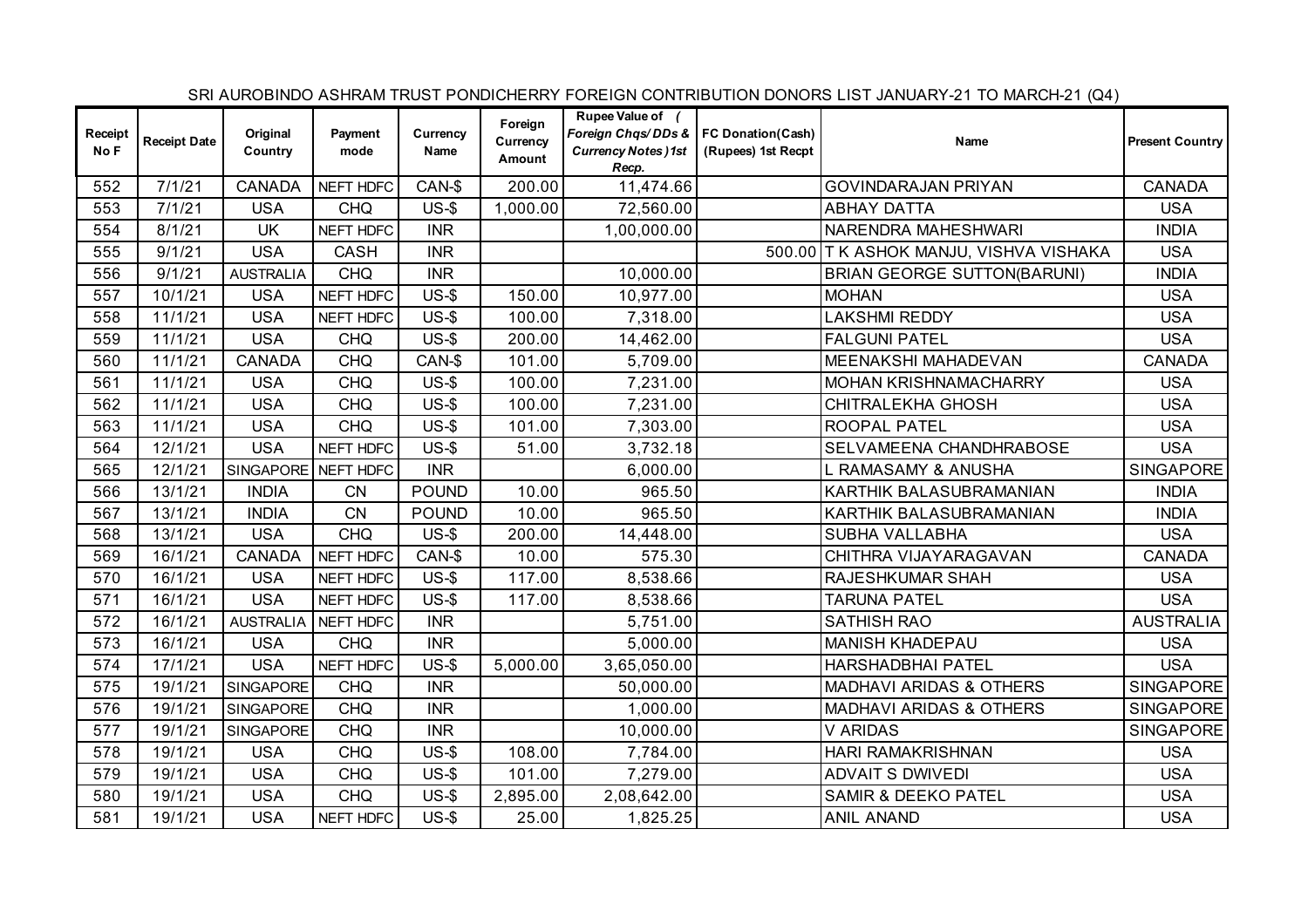|                 |                     |                     |                 |                  |                               |                                                                                                   |                    | SRI AUROBINDO ASHRAM TRUST PONDICHERRY FOREIGN CONTRIBUTION DONORS LIST JANUARY-21 TO MARCH-21 (Q4) |                        |
|-----------------|---------------------|---------------------|-----------------|------------------|-------------------------------|---------------------------------------------------------------------------------------------------|--------------------|-----------------------------------------------------------------------------------------------------|------------------------|
| Receipt<br>No F | <b>Receipt Date</b> | Original<br>Country | Payment<br>mode | Currency<br>Name | Foreign<br>Currency<br>Amount | Rupee Value of (<br>Foreign Chqs/DDs &   FC Donation(Cash)<br><b>Currency Notes )1st</b><br>Recp. | (Rupees) 1st Recpt | Name                                                                                                | <b>Present Country</b> |
| 552             | 7/1/21              | <b>CANADA</b>       | NEFT HDFC       | CAN-\$           | 200.00                        | 11,474.66                                                                                         |                    | <b>GOVINDARAJAN PRIYAN</b>                                                                          | <b>CANADA</b>          |
| 553             | 7/1/21              | <b>USA</b>          | <b>CHQ</b>      | $US-5$           | 1,000.00                      | 72,560.00                                                                                         |                    | <b>ABHAY DATTA</b>                                                                                  | <b>USA</b>             |
| 554             | 8/1/21              | <b>UK</b>           | NEFT HDFC       | <b>INR</b>       |                               | 1,00,000.00                                                                                       |                    | NARENDRA MAHESHWARI                                                                                 | <b>INDIA</b>           |
| 555             | 9/1/21              | <b>USA</b>          | <b>CASH</b>     | <b>INR</b>       |                               |                                                                                                   |                    | 500.00 T K ASHOK MANJU, VISHVA VISHAKA                                                              | <b>USA</b>             |
| 556             | 9/1/21              | <b>AUSTRALIA</b>    | <b>CHQ</b>      | <b>INR</b>       |                               | 10,000.00                                                                                         |                    | <b>BRIAN GEORGE SUTTON(BARUNI)</b>                                                                  | <b>INDIA</b>           |
| 557             | 10/1/21             | <b>USA</b>          | NEFT HDFC       | $US-5$           | 150.00                        | 10,977.00                                                                                         |                    | <b>MOHAN</b>                                                                                        | <b>USA</b>             |
| 558             | 11/1/21             | <b>USA</b>          | NEFT HDFC       | $US-5$           | 100.00                        | 7,318.00                                                                                          |                    | <b>LAKSHMI REDDY</b>                                                                                | <b>USA</b>             |
| 559             | 11/1/21             | <b>USA</b>          | <b>CHQ</b>      | $US-5$           | 200.00                        | 14,462.00                                                                                         |                    | <b>FALGUNI PATEL</b>                                                                                | <b>USA</b>             |
| 560             | 11/1/21             | <b>CANADA</b>       | <b>CHQ</b>      | CAN-\$           | 101.00                        | 5,709.00                                                                                          |                    | MEENAKSHI MAHADEVAN                                                                                 | <b>CANADA</b>          |
| 561             | 11/1/21             | <b>USA</b>          | <b>CHQ</b>      | $US-5$           | 100.00                        | 7,231.00                                                                                          |                    | MOHAN KRISHNAMACHARRY                                                                               | <b>USA</b>             |
| 562             | 11/1/21             | <b>USA</b>          | <b>CHQ</b>      | $US-5$           | 100.00                        | 7,231.00                                                                                          |                    | CHITRALEKHA GHOSH                                                                                   | <b>USA</b>             |
| 563             | 11/1/21             | <b>USA</b>          | <b>CHQ</b>      | $US-5$           | 101.00                        | 7,303.00                                                                                          |                    | ROOPAL PATEL                                                                                        | <b>USA</b>             |
| 564             | 12/1/21             | <b>USA</b>          | NEFT HDFC       | $US-5$           | 51.00                         | 3,732.18                                                                                          |                    | SELVAMEENA CHANDHRABOSE                                                                             | <b>USA</b>             |
| 565             | 12/1/21             | SINGAPORE NEFT HDFC |                 | <b>INR</b>       |                               | 6,000.00                                                                                          |                    | <b>RAMASAMY &amp; ANUSHA</b>                                                                        | <b>SINGAPORE</b>       |
| 566             | 13/1/21             | <b>INDIA</b>        | CN              | <b>POUND</b>     | 10.00                         | 965.50                                                                                            |                    | KARTHIK BALASUBRAMANIAN                                                                             | <b>INDIA</b>           |
| 567             | 13/1/21             | <b>INDIA</b>        | <b>CN</b>       | <b>POUND</b>     | 10.00                         | 965.50                                                                                            |                    | KARTHIK BALASUBRAMANIAN                                                                             | <b>INDIA</b>           |
| 568             | 13/1/21             | <b>USA</b>          | <b>CHQ</b>      | $US-5$           | 200.00                        | 14,448.00                                                                                         |                    | SUBHA VALLABHA                                                                                      | <b>USA</b>             |
| 569             | 16/1/21             | <b>CANADA</b>       | NEFT HDFC       | CAN-\$           | 10.00                         | 575.30                                                                                            |                    | CHITHRA VIJAYARAGAVAN                                                                               | <b>CANADA</b>          |
| 570             | 16/1/21             | <b>USA</b>          | NEFT HDFC       | $US-$ \$         | 117.00                        | 8,538.66                                                                                          |                    | RAJESHKUMAR SHAH                                                                                    | <b>USA</b>             |
| 571             | 16/1/21             | <b>USA</b>          | NEFT HDFC       | $US-5$           | 117.00                        | 8,538.66                                                                                          |                    | <b>TARUNA PATEL</b>                                                                                 | <b>USA</b>             |
| 572             | 16/1/21             | <b>AUSTRALIA</b>    | NEFT HDFC       | <b>INR</b>       |                               | 5,751.00                                                                                          |                    | <b>SATHISH RAO</b>                                                                                  | <b>AUSTRALIA</b>       |
| 573             | 16/1/21             | <b>USA</b>          | <b>CHQ</b>      | <b>INR</b>       |                               | 5,000.00                                                                                          |                    | <b>MANISH KHADEPAU</b>                                                                              | <b>USA</b>             |
| 574             | 17/1/21             | <b>USA</b>          | NEFT HDFC       | $US-5$           | 5,000.00                      | 3,65,050.00                                                                                       |                    | <b>HARSHADBHAI PATEL</b>                                                                            | <b>USA</b>             |
| 575             | 19/1/21             | <b>SINGAPORE</b>    | <b>CHQ</b>      | <b>INR</b>       |                               | 50,000.00                                                                                         |                    | <b>MADHAVI ARIDAS &amp; OTHERS</b>                                                                  | <b>SINGAPORE</b>       |
| 576             | 19/1/21             | SINGAPORE           | <b>CHQ</b>      | <b>INR</b>       |                               | 1,000.00                                                                                          |                    | <b>MADHAVI ARIDAS &amp; OTHERS</b>                                                                  | <b>SINGAPORE</b>       |
| 577             | 19/1/21             | <b>SINGAPORE</b>    | <b>CHQ</b>      | <b>INR</b>       |                               | 10,000.00                                                                                         |                    | <b>V ARIDAS</b>                                                                                     | <b>SINGAPORE</b>       |
| 578             | 19/1/21             | <b>USA</b>          | <b>CHQ</b>      | $US-5$           | 108.00                        | 7,784.00                                                                                          |                    | HARI RAMAKRISHNAN                                                                                   | <b>USA</b>             |
| 579             | 19/1/21             | <b>USA</b>          | <b>CHQ</b>      | $US-5$           | 101.00                        | 7,279.00                                                                                          |                    | <b>ADVAIT S DWIVEDI</b>                                                                             | <b>USA</b>             |
| 580             | 19/1/21             | <b>USA</b>          | <b>CHQ</b>      | $US-5$           | 2,895.00                      | 2,08,642.00                                                                                       |                    | <b>SAMIR &amp; DEEKO PATEL</b>                                                                      | <b>USA</b>             |
| 581             | 19/1/21             | <b>USA</b>          | NEFT HDFC       | $US-5$           | 25.00                         | 1,825.25                                                                                          |                    | <b>ANIL ANAND</b>                                                                                   | <b>USA</b>             |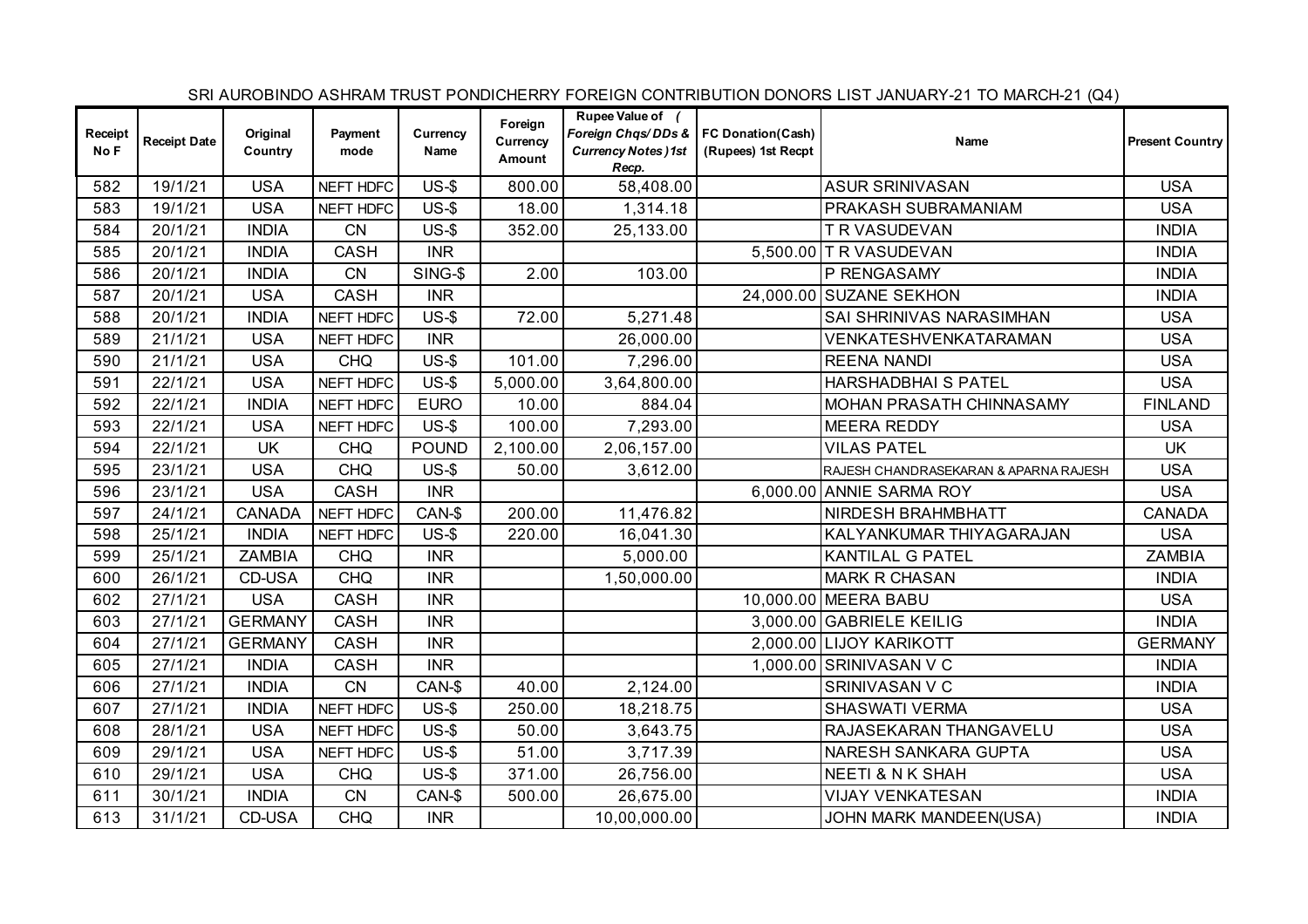|                 |                     |                     |                 |                  |                                      |                                                                                                   |                    | SRI AUROBINDO ASHRAM TRUST PONDICHERRY FOREIGN CONTRIBUTION DONORS LIST JANUARY-21 TO MARCH-21 (Q4) |                        |
|-----------------|---------------------|---------------------|-----------------|------------------|--------------------------------------|---------------------------------------------------------------------------------------------------|--------------------|-----------------------------------------------------------------------------------------------------|------------------------|
| Receipt<br>No F | <b>Receipt Date</b> | Original<br>Country | Payment<br>mode | Currency<br>Name | Foreign<br>Currency<br><b>Amount</b> | Rupee Value of (<br>Foreign Chqs/DDs &   FC Donation(Cash)<br><b>Currency Notes )1st</b><br>Recp. | (Rupees) 1st Recpt | Name                                                                                                | <b>Present Country</b> |
| 582             | 19/1/21             | <b>USA</b>          | NEFT HDFC       | $US-5$           | 800.00                               | 58,408.00                                                                                         |                    | <b>ASUR SRINIVASAN</b>                                                                              | <b>USA</b>             |
| 583             | 19/1/21             | <b>USA</b>          | NEFT HDFC       | $US-5$           | 18.00                                | 1,314.18                                                                                          |                    | PRAKASH SUBRAMANIAM                                                                                 | <b>USA</b>             |
| 584             | 20/1/21             | <b>INDIA</b>        | <b>CN</b>       | $US-5$           | 352.00                               | 25,133.00                                                                                         |                    | T R VASUDEVAN                                                                                       | <b>INDIA</b>           |
| 585             | 20/1/21             | <b>INDIA</b>        | CASH            | <b>INR</b>       |                                      |                                                                                                   |                    | 5,500.00 T R VASUDEVAN                                                                              | <b>INDIA</b>           |
| 586             | 20/1/21             | <b>INDIA</b>        | <b>CN</b>       | SING-\$          | 2.00                                 | 103.00                                                                                            |                    | P RENGASAMY                                                                                         | <b>INDIA</b>           |
| 587             | 20/1/21             | <b>USA</b>          | CASH            | <b>INR</b>       |                                      |                                                                                                   |                    | 24,000.00 SUZANE SEKHON                                                                             | <b>INDIA</b>           |
| 588             | 20/1/21             | <b>INDIA</b>        | NEFT HDFC       | $US-5$           | 72.00                                | 5,271.48                                                                                          |                    | SAI SHRINIVAS NARASIMHAN                                                                            | <b>USA</b>             |
| 589             | 21/1/21             | <b>USA</b>          | NEFT HDFC       | <b>INR</b>       |                                      | 26,000.00                                                                                         |                    | VENKATESHVENKATARAMAN                                                                               | <b>USA</b>             |
| 590             | 21/1/21             | <b>USA</b>          | <b>CHQ</b>      | $US-5$           | 101.00                               | 7,296.00                                                                                          |                    | <b>REENA NANDI</b>                                                                                  | <b>USA</b>             |
| 591             | 22/1/21             | <b>USA</b>          | NEFT HDFC       | $US-5$           | 5,000.00                             | 3,64,800.00                                                                                       |                    | HARSHADBHAI S PATEL                                                                                 | <b>USA</b>             |
| 592             | 22/1/21             | <b>INDIA</b>        | NEFT HDFC       | <b>EURO</b>      | 10.00                                | 884.04                                                                                            |                    | MOHAN PRASATH CHINNASAMY                                                                            | <b>FINLAND</b>         |
| 593             | 22/1/21             | <b>USA</b>          | NEFT HDFC       | $US-5$           | 100.00                               | 7,293.00                                                                                          |                    | <b>MEERA REDDY</b>                                                                                  | <b>USA</b>             |
| 594             | 22/1/21             | <b>UK</b>           | <b>CHQ</b>      | <b>POUND</b>     | 2,100.00                             | 2,06,157.00                                                                                       |                    | <b>VILAS PATEL</b>                                                                                  | <b>UK</b>              |
| 595             | 23/1/21             | <b>USA</b>          | <b>CHQ</b>      | $US-5$           | 50.00                                | 3,612.00                                                                                          |                    | RAJESH CHANDRASEKARAN & APARNA RAJESH                                                               | <b>USA</b>             |
| 596             | 23/1/21             | <b>USA</b>          | CASH            | <b>INR</b>       |                                      |                                                                                                   |                    | 6,000.00 ANNIE SARMA ROY                                                                            | <b>USA</b>             |
| 597             | 24/1/21             | <b>CANADA</b>       | NEFT HDFC       | CAN-\$           | 200.00                               | 11,476.82                                                                                         |                    | NIRDESH BRAHMBHATT                                                                                  | <b>CANADA</b>          |
| 598             | 25/1/21             | <b>INDIA</b>        | NEFT HDFC       | $US-5$           | 220.00                               | 16,041.30                                                                                         |                    | KALYANKUMAR THIYAGARAJAN                                                                            | <b>USA</b>             |
| 599             | 25/1/21             | <b>ZAMBIA</b>       | <b>CHQ</b>      | <b>INR</b>       |                                      | 5,000.00                                                                                          |                    | <b>KANTILAL G PATEL</b>                                                                             | <b>ZAMBIA</b>          |
| 600             | 26/1/21             | CD-USA              | <b>CHQ</b>      | <b>INR</b>       |                                      | 1,50,000.00                                                                                       |                    | <b>MARK R CHASAN</b>                                                                                | <b>INDIA</b>           |
| 602             | 27/1/21             | <b>USA</b>          | <b>CASH</b>     | <b>INR</b>       |                                      |                                                                                                   |                    | 10,000.00 MEERA BABU                                                                                | <b>USA</b>             |
| 603             | 27/1/21             | <b>GERMANY</b>      | CASH            | <b>INR</b>       |                                      |                                                                                                   |                    | 3,000.00 GABRIELE KEILIG                                                                            | <b>INDIA</b>           |
| 604             | 27/1/21             | <b>GERMANY</b>      | CASH            | <b>INR</b>       |                                      |                                                                                                   |                    | 2,000.00 LIJOY KARIKOTT                                                                             | <b>GERMANY</b>         |
| 605             | 27/1/21             | <b>INDIA</b>        | <b>CASH</b>     | <b>INR</b>       |                                      |                                                                                                   |                    | 1,000.00 SRINIVASAN V C                                                                             | <b>INDIA</b>           |
| 606             | 27/1/21             | <b>INDIA</b>        | CN              | CAN-\$           | 40.00                                | 2,124.00                                                                                          |                    | SRINIVASAN V C                                                                                      | <b>INDIA</b>           |
| 607             | 27/1/21             | <b>INDIA</b>        | NEFT HDFC       | $US-5$           | 250.00                               | 18,218.75                                                                                         |                    | <b>SHASWATI VERMA</b>                                                                               | <b>USA</b>             |
| 608             | 28/1/21             | <b>USA</b>          | NEFT HDFC       | $US-5$           | 50.00                                | 3,643.75                                                                                          |                    | RAJASEKARAN THANGAVELU                                                                              | <b>USA</b>             |
| 609             | 29/1/21             | <b>USA</b>          | NEFT HDFC       | $US-$ \$         | 51.00                                | 3,717.39                                                                                          |                    | NARESH SANKARA GUPTA                                                                                | <b>USA</b>             |
| 610             | 29/1/21             | <b>USA</b>          | <b>CHQ</b>      | $US-$ \$         | 371.00                               | 26,756.00                                                                                         |                    | <b>NEETI &amp; N K SHAH</b>                                                                         | <b>USA</b>             |
| 611             | 30/1/21             | <b>INDIA</b>        | <b>CN</b>       | CAN-\$           | 500.00                               | 26,675.00                                                                                         |                    | <b>VIJAY VENKATESAN</b>                                                                             | <b>INDIA</b>           |
| 613             | 31/1/21             | CD-USA              | <b>CHQ</b>      | <b>INR</b>       |                                      | 10,00,000.00                                                                                      |                    | JOHN MARK MANDEEN(USA)                                                                              | <b>INDIA</b>           |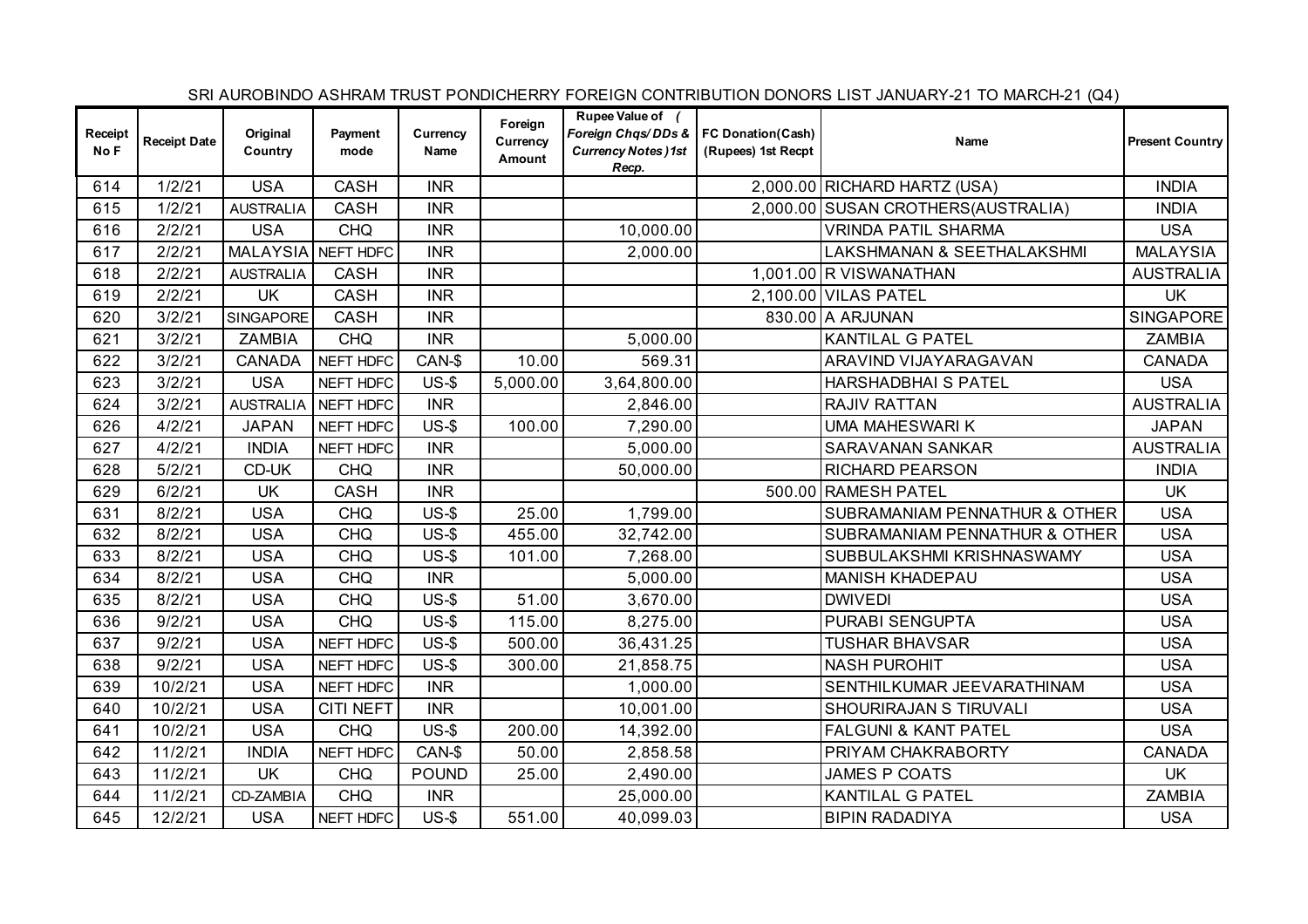|                 |                     |                     |                  |                  |                               |                                                                                                  |                    | SRI AUROBINDO ASHRAM TRUST PONDICHERRY FOREIGN CONTRIBUTION DONORS LIST JANUARY-21 TO MARCH-21 (Q4) |                        |
|-----------------|---------------------|---------------------|------------------|------------------|-------------------------------|--------------------------------------------------------------------------------------------------|--------------------|-----------------------------------------------------------------------------------------------------|------------------------|
| Receipt<br>No F | <b>Receipt Date</b> | Original<br>Country | Payment<br>mode  | Currency<br>Name | Foreign<br>Currency<br>Amount | Rupee Value of (<br>Foreign Chas/DDs &   FC Donation(Cash)<br><b>Currency Notes)1st</b><br>Recp. | (Rupees) 1st Recpt | Name                                                                                                | <b>Present Country</b> |
| 614             | 1/2/21              | <b>USA</b>          | <b>CASH</b>      | <b>INR</b>       |                               |                                                                                                  |                    | 2,000.00 RICHARD HARTZ (USA)                                                                        | <b>INDIA</b>           |
| 615             | 1/2/21              | AUSTRALIA           | <b>CASH</b>      | <b>INR</b>       |                               |                                                                                                  |                    | 2,000.00 SUSAN CROTHERS (AUSTRALIA)                                                                 | <b>INDIA</b>           |
| 616             | 2/2/21              | <b>USA</b>          | <b>CHQ</b>       | <b>INR</b>       |                               | 10,000.00                                                                                        |                    | <b>VRINDA PATIL SHARMA</b>                                                                          | <b>USA</b>             |
| 617             | 2/2/21              | MALAYSIA NEFT HDFC  |                  | <b>INR</b>       |                               | 2,000.00                                                                                         |                    | LAKSHMANAN & SEETHALAKSHMI                                                                          | <b>MALAYSIA</b>        |
| 618             | 2/2/21              | <b>AUSTRALIA</b>    | CASH             | <b>INR</b>       |                               |                                                                                                  |                    | 1,001.00 R VISWANATHAN                                                                              | <b>AUSTRALIA</b>       |
| 619             | 2/2/21              | <b>UK</b>           | <b>CASH</b>      | <b>INR</b>       |                               |                                                                                                  |                    | 2,100.00 VILAS PATEL                                                                                | <b>UK</b>              |
| 620             | 3/2/21              | SINGAPORE           | <b>CASH</b>      | <b>INR</b>       |                               |                                                                                                  |                    | 830.00 A ARJUNAN                                                                                    | <b>SINGAPORE</b>       |
| 621             | 3/2/21              | <b>ZAMBIA</b>       | <b>CHQ</b>       | <b>INR</b>       |                               | 5,000.00                                                                                         |                    | <b>KANTILAL G PATEL</b>                                                                             | <b>ZAMBIA</b>          |
| 622             | 3/2/21              | <b>CANADA</b>       | NEFT HDFC        | CAN-\$           | 10.00                         | 569.31                                                                                           |                    | ARAVIND VIJAYARAGAVAN                                                                               | <b>CANADA</b>          |
| 623             | 3/2/21              | <b>USA</b>          | NEFT HDFC        | $US-5$           | 5,000.00                      | 3,64,800.00                                                                                      |                    | HARSHADBHAI S PATEL                                                                                 | <b>USA</b>             |
| 624             | 3/2/21              | <b>AUSTRALIA</b>    | NEFT HDFC        | <b>INR</b>       |                               | 2,846.00                                                                                         |                    | RAJIV RATTAN                                                                                        | <b>AUSTRALIA</b>       |
| 626             | 4/2/21              | <b>JAPAN</b>        | NEFT HDFC        | $US-5$           | 100.00                        | 7,290.00                                                                                         |                    | <b>UMA MAHESWARI K</b>                                                                              | <b>JAPAN</b>           |
| 627             | 4/2/21              | <b>INDIA</b>        | NEFT HDFC        | <b>INR</b>       |                               | 5,000.00                                                                                         |                    | SARAVANAN SANKAR                                                                                    | <b>AUSTRALIA</b>       |
| 628             | 5/2/21              | CD-UK               | <b>CHQ</b>       | <b>INR</b>       |                               | 50,000.00                                                                                        |                    | <b>RICHARD PEARSON</b>                                                                              | <b>INDIA</b>           |
| 629             | 6/2/21              | <b>UK</b>           | <b>CASH</b>      | <b>INR</b>       |                               |                                                                                                  |                    | 500.00 RAMESH PATEL                                                                                 | <b>UK</b>              |
| 631             | 8/2/21              | <b>USA</b>          | <b>CHQ</b>       | $US-$ \$         | 25.00                         | 1,799.00                                                                                         |                    | SUBRAMANIAM PENNATHUR & OTHER                                                                       | <b>USA</b>             |
| 632             | 8/2/21              | <b>USA</b>          | <b>CHQ</b>       | $US-5$           | 455.00                        | 32,742.00                                                                                        |                    | SUBRAMANIAM PENNATHUR & OTHER                                                                       | <b>USA</b>             |
| 633             | 8/2/21              | <b>USA</b>          | <b>CHQ</b>       | $US-5$           | 101.00                        | 7,268.00                                                                                         |                    | SUBBULAKSHMI KRISHNASWAMY                                                                           | <b>USA</b>             |
| 634             | 8/2/21              | <b>USA</b>          | <b>CHQ</b>       | <b>INR</b>       |                               | 5,000.00                                                                                         |                    | <b>MANISH KHADEPAU</b>                                                                              | <b>USA</b>             |
| 635             | 8/2/21              | <b>USA</b>          | <b>CHQ</b>       | $US-5$           | 51.00                         | 3,670.00                                                                                         |                    | <b>DWIVEDI</b>                                                                                      | <b>USA</b>             |
| 636             | 9/2/21              | <b>USA</b>          | <b>CHQ</b>       | $US-$$           | 115.00                        | 8,275.00                                                                                         |                    | PURABI SENGUPTA                                                                                     | <b>USA</b>             |
| 637             | 9/2/21              | <b>USA</b>          | NEFT HDFC        | $US-5$           | 500.00                        | 36,431.25                                                                                        |                    | <b>TUSHAR BHAVSAR</b>                                                                               | <b>USA</b>             |
| 638             | 9/2/21              | <b>USA</b>          | NEFT HDFC        | $US-5$           | 300.00                        | 21,858.75                                                                                        |                    | <b>NASH PUROHIT</b>                                                                                 | <b>USA</b>             |
| 639             | 10/2/21             | <b>USA</b>          | NEFT HDFC        | <b>INR</b>       |                               | 1,000.00                                                                                         |                    | SENTHILKUMAR JEEVARATHINAM                                                                          | <b>USA</b>             |
| 640             | 10/2/21             | <b>USA</b>          | <b>CITI NEFT</b> | <b>INR</b>       |                               | 10,001.00                                                                                        |                    | SHOURIRAJAN S TIRUVALI                                                                              | <b>USA</b>             |
| 641             | 10/2/21             | <b>USA</b>          | <b>CHQ</b>       | $US-$$           | 200.00                        | 14,392.00                                                                                        |                    | <b>FALGUNI &amp; KANT PATEL</b>                                                                     | <b>USA</b>             |
| 642             | 11/2/21             | <b>INDIA</b>        | NEFT HDFC        | CAN-\$           | 50.00                         | 2,858.58                                                                                         |                    | PRIYAM CHAKRABORTY                                                                                  | <b>CANADA</b>          |
| 643             | 11/2/21             | <b>UK</b>           | <b>CHQ</b>       | <b>POUND</b>     | 25.00                         | 2,490.00                                                                                         |                    | <b>JAMES P COATS</b>                                                                                | <b>UK</b>              |
| 644             | 11/2/21             | CD-ZAMBIA           | <b>CHQ</b>       | <b>INR</b>       |                               | 25,000.00                                                                                        |                    | KANTILAL G PATEL                                                                                    | <b>ZAMBIA</b>          |
| 645             | 12/2/21             | <b>USA</b>          | NEFT HDFC        | $US-5$           | 551.00                        | 40,099.03                                                                                        |                    | <b>BIPIN RADADIYA</b>                                                                               | <b>USA</b>             |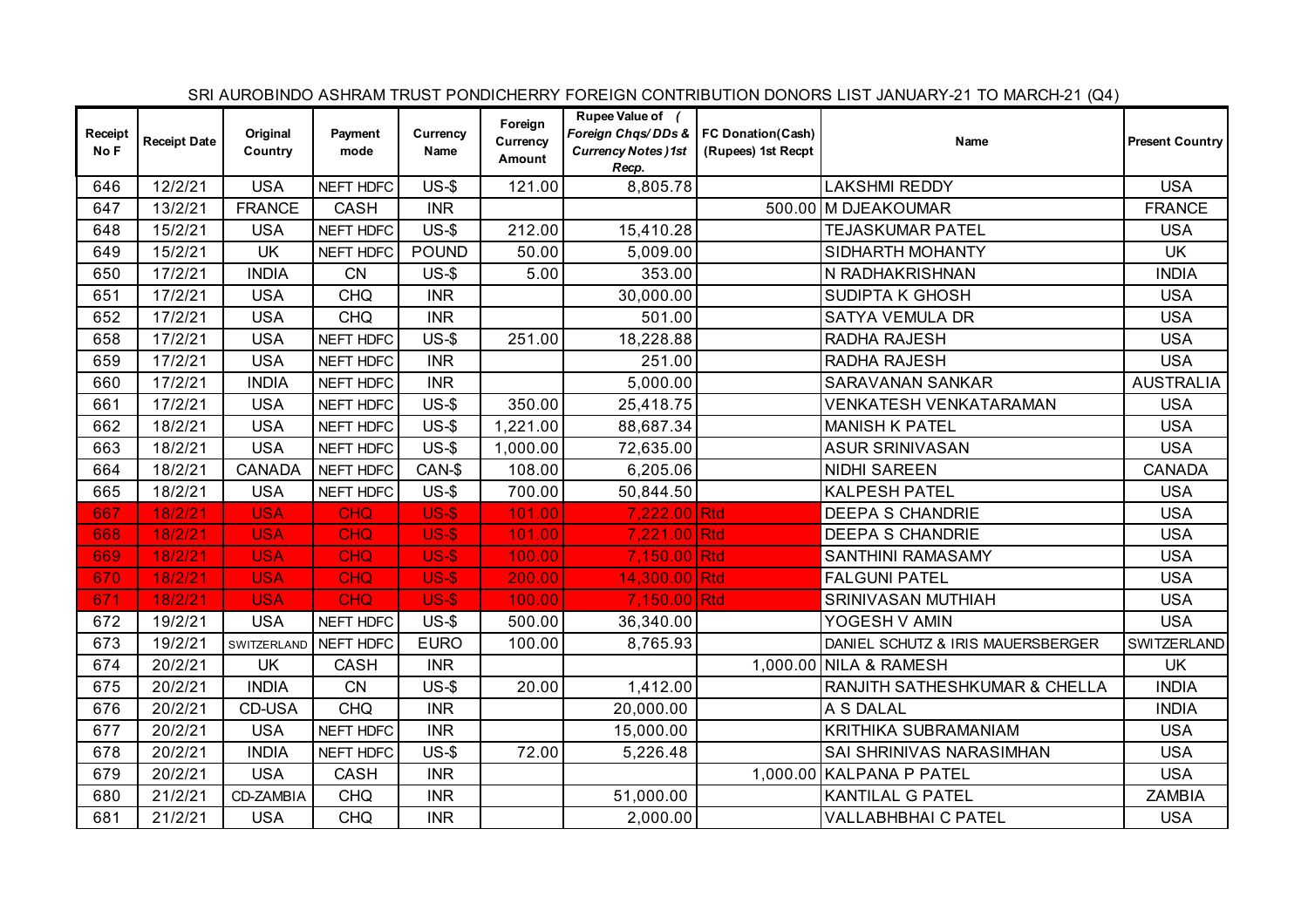|                 |                     |                     |                 |                  |                               |                                                                                                   |                    | SRI AUROBINDO ASHRAM TRUST PONDICHERRY FOREIGN CONTRIBUTION DONORS LIST JANUARY-21 TO MARCH-21 (Q4) |                        |
|-----------------|---------------------|---------------------|-----------------|------------------|-------------------------------|---------------------------------------------------------------------------------------------------|--------------------|-----------------------------------------------------------------------------------------------------|------------------------|
| Receipt<br>No F | <b>Receipt Date</b> | Original<br>Country | Payment<br>mode | Currency<br>Name | Foreign<br>Currency<br>Amount | Rupee Value of (<br>Foreign Chas/DDs &   FC Donation(Cash)<br><b>Currency Notes )1st</b><br>Recp. | (Rupees) 1st Recpt | Name                                                                                                | <b>Present Country</b> |
| 646             | 12/2/21             | <b>USA</b>          | NEFT HDFC       | $US-5$           | 121.00                        | 8,805.78                                                                                          |                    | <b>LAKSHMI REDDY</b>                                                                                | <b>USA</b>             |
| 647             | 13/2/21             | <b>FRANCE</b>       | <b>CASH</b>     | <b>INR</b>       |                               |                                                                                                   |                    | 500.00 M DJEAKOUMAR                                                                                 | <b>FRANCE</b>          |
| 648             | 15/2/21             | <b>USA</b>          | NEFT HDFC       | $US-5$           | 212.00                        | 15,410.28                                                                                         |                    | <b>TEJASKUMAR PATEL</b>                                                                             | <b>USA</b>             |
| 649             | 15/2/21             | <b>UK</b>           | NEFT HDFC       | <b>POUND</b>     | 50.00                         | 5,009.00                                                                                          |                    | SIDHARTH MOHANTY                                                                                    | <b>UK</b>              |
| 650             | 17/2/21             | <b>INDIA</b>        | CN              | $US-$ \$         | 5.00                          | 353.00                                                                                            |                    | N RADHAKRISHNAN                                                                                     | <b>INDIA</b>           |
| 651             | 17/2/21             | <b>USA</b>          | <b>CHQ</b>      | <b>INR</b>       |                               | 30,000.00                                                                                         |                    | SUDIPTA K GHOSH                                                                                     | <b>USA</b>             |
| 652             | 17/2/21             | <b>USA</b>          | <b>CHQ</b>      | <b>INR</b>       |                               | 501.00                                                                                            |                    | SATYA VEMULA DR                                                                                     | <b>USA</b>             |
| 658             | 17/2/21             | <b>USA</b>          | NEFT HDFC       | $US-5$           | 251.00                        | 18,228.88                                                                                         |                    | RADHA RAJESH                                                                                        | <b>USA</b>             |
| 659             | 17/2/21             | <b>USA</b>          | NEFT HDFC       | <b>INR</b>       |                               | 251.00                                                                                            |                    | <b>RADHA RAJESH</b>                                                                                 | <b>USA</b>             |
| 660             | 17/2/21             | <b>INDIA</b>        | NEFT HDFC       | <b>INR</b>       |                               | 5,000.00                                                                                          |                    | <b>SARAVANAN SANKAR</b>                                                                             | <b>AUSTRALIA</b>       |
| 661             | 17/2/21             | <b>USA</b>          | NEFT HDFC       | $US-5$           | 350.00                        | 25,418.75                                                                                         |                    | VENKATESH VENKATARAMAN                                                                              | <b>USA</b>             |
| 662             | 18/2/21             | <b>USA</b>          | NEFT HDFC       | $US-5$           | 1,221.00                      | 88,687.34                                                                                         |                    | <b>MANISH K PATEL</b>                                                                               | <b>USA</b>             |
| 663             | 18/2/21             | <b>USA</b>          | NEFT HDFC       | $US-5$           | 1,000.00                      | 72,635.00                                                                                         |                    | <b>ASUR SRINIVASAN</b>                                                                              | <b>USA</b>             |
| 664             | 18/2/21             | <b>CANADA</b>       | NEFT HDFC       | CAN-\$           | 108.00                        | 6,205.06                                                                                          |                    | NIDHI SAREEN                                                                                        | <b>CANADA</b>          |
| 665             | 18/2/21             | <b>USA</b>          | NEFT HDFC       | $US-5$           | 700.00                        | 50,844.50                                                                                         |                    | <b>KALPESH PATEL</b>                                                                                | <b>USA</b>             |
| 667             | 18/2/21             | <b>USA</b>          | <b>CHQ</b>      | <b>US-\$</b>     | 101.00                        | 7,222.00 Rtd                                                                                      |                    | <b>DEEPA S CHANDRIE</b>                                                                             | <b>USA</b>             |
| 668             | 18/2/21             | <b>USA</b>          | <b>CHQ</b>      | <b>US-\$</b>     | 101.00                        | 7,221.00 Rtd                                                                                      |                    | <b>DEEPA S CHANDRIE</b>                                                                             | <b>USA</b>             |
| 669             | 18/2/21             | <b>USA</b>          | <b>CHQ</b>      | <b>US-\$</b>     | 100.00                        | 7,150.00 Rtd                                                                                      |                    | <b>SANTHINI RAMASAMY</b>                                                                            | <b>USA</b>             |
| 670             | 18/2/21             | <b>USA</b>          | <b>CHQ</b>      | <b>US-\$</b>     | 200.00                        | 14,300.00 Rtd                                                                                     |                    | <b>FALGUNI PATEL</b>                                                                                | <b>USA</b>             |
| 671             | 18/2/21             | <b>USA</b>          | <b>CHQ</b>      | <b>US-\$</b>     | 100.00                        | 7,150.00 Rtd                                                                                      |                    | SRINIVASAN MUTHIAH                                                                                  | <b>USA</b>             |
| 672             | 19/2/21             | <b>USA</b>          | NEFT HDFC       | $US-5$           | 500.00                        | 36,340.00                                                                                         |                    | YOGESH V AMIN                                                                                       | <b>USA</b>             |
| 673             | 19/2/21             | SWITZERLAND         | NEFT HDFC       | <b>EURO</b>      | 100.00                        | 8,765.93                                                                                          |                    | DANIEL SCHUTZ & IRIS MAUERSBERGER                                                                   | SWITZERLAND            |
| 674             | 20/2/21             | <b>UK</b>           | <b>CASH</b>     | <b>INR</b>       |                               |                                                                                                   |                    | 1,000.00 NILA & RAMESH                                                                              | <b>UK</b>              |
| 675             | 20/2/21             | <b>INDIA</b>        | CN              | $US-5$           | 20.00                         | 1,412.00                                                                                          |                    | RANJITH SATHESHKUMAR & CHELLA                                                                       | <b>INDIA</b>           |
| 676             | 20/2/21             | CD-USA              | <b>CHQ</b>      | <b>INR</b>       |                               | 20,000.00                                                                                         |                    | A S DALAL                                                                                           | <b>INDIA</b>           |
| 677             | 20/2/21             | <b>USA</b>          | NEFT HDFC       | <b>INR</b>       |                               | 15,000.00                                                                                         |                    | KRITHIKA SUBRAMANIAM                                                                                | <b>USA</b>             |
| 678             | 20/2/21             | <b>INDIA</b>        | NEFT HDFC       | $US-$ \$         | 72.00                         | 5,226.48                                                                                          |                    | SAI SHRINIVAS NARASIMHAN                                                                            | <b>USA</b>             |
| 679             | 20/2/21             | <b>USA</b>          | CASH            | <b>INR</b>       |                               |                                                                                                   |                    | 1,000.00 KALPANA P PATEL                                                                            | <b>USA</b>             |
| 680             | 21/2/21             | CD-ZAMBIA           | <b>CHQ</b>      | <b>INR</b>       |                               | 51,000.00                                                                                         |                    | <b>KANTILAL G PATEL</b>                                                                             | <b>ZAMBIA</b>          |
| 681             | 21/2/21             | <b>USA</b>          | <b>CHQ</b>      | <b>INR</b>       |                               | 2,000.00                                                                                          |                    | VALLABHBHAI C PATEL                                                                                 | <b>USA</b>             |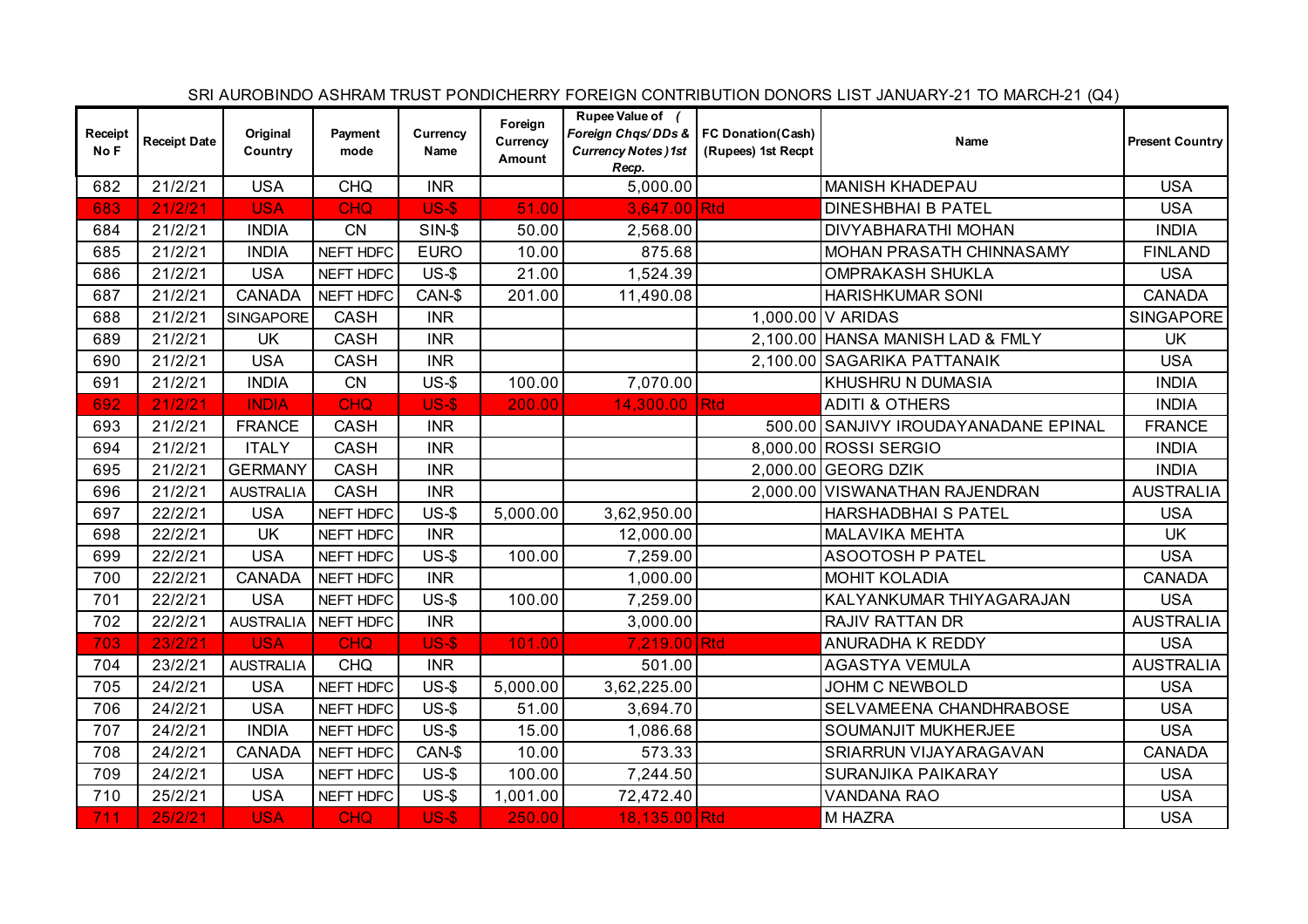|                 |                     |                     |                 |                  |                               |                                                                                                  |                    | SRI AUROBINDO ASHRAM TRUST PONDICHERRY FOREIGN CONTRIBUTION DONORS LIST JANUARY-21 TO MARCH-21 (Q4) |                        |
|-----------------|---------------------|---------------------|-----------------|------------------|-------------------------------|--------------------------------------------------------------------------------------------------|--------------------|-----------------------------------------------------------------------------------------------------|------------------------|
| Receipt<br>No F | <b>Receipt Date</b> | Original<br>Country | Payment<br>mode | Currency<br>Name | Foreign<br>Currency<br>Amount | Rupee Value of (<br>Foreign Chqs/DDs &   FC Donation(Cash)<br><b>Currency Notes)1st</b><br>Recp. | (Rupees) 1st Recpt | Name                                                                                                | <b>Present Country</b> |
| 682             | 21/2/21             | <b>USA</b>          | <b>CHQ</b>      | <b>INR</b>       |                               | 5,000.00                                                                                         |                    | <b>MANISH KHADEPAU</b>                                                                              | <b>USA</b>             |
| 683             | 21/2/21             | <b>USA</b>          | <b>CHQ</b>      | $US-5$           | 51.00                         | 3,647.00 Rtd                                                                                     |                    | <b>DINESHBHAI B PATEL</b>                                                                           | <b>USA</b>             |
| 684             | 21/2/21             | <b>INDIA</b>        | <b>CN</b>       | $SIN-5$          | 50.00                         | 2,568.00                                                                                         |                    | <b>DIVYABHARATHI MOHAN</b>                                                                          | <b>INDIA</b>           |
| 685             | 21/2/21             | <b>INDIA</b>        | NEFT HDFC       | <b>EURO</b>      | 10.00                         | 875.68                                                                                           |                    | MOHAN PRASATH CHINNASAMY                                                                            | <b>FINLAND</b>         |
| 686             | 21/2/21             | <b>USA</b>          | NEFT HDFC       | $US-5$           | 21.00                         | 1,524.39                                                                                         |                    | <b>OMPRAKASH SHUKLA</b>                                                                             | <b>USA</b>             |
| 687             | 21/2/21             | <b>CANADA</b>       | NEFT HDFC       | CAN-\$           | 201.00                        | 11,490.08                                                                                        |                    | <b>HARISHKUMAR SONI</b>                                                                             | <b>CANADA</b>          |
| 688             | 21/2/21             | SINGAPORE           | <b>CASH</b>     | <b>INR</b>       |                               |                                                                                                  |                    | 1,000.00 V ARIDAS                                                                                   | <b>SINGAPORE</b>       |
| 689             | 21/2/21             | <b>UK</b>           | <b>CASH</b>     | <b>INR</b>       |                               |                                                                                                  |                    | 2,100.00 HANSA MANISH LAD & FMLY                                                                    | <b>UK</b>              |
| 690             | 21/2/21             | <b>USA</b>          | <b>CASH</b>     | <b>INR</b>       |                               |                                                                                                  |                    | 2,100.00 SAGARIKA PATTANAIK                                                                         | <b>USA</b>             |
| 691             | 21/2/21             | <b>INDIA</b>        | <b>CN</b>       | $US-5$           | 100.00                        | 7,070.00                                                                                         |                    | KHUSHRU N DUMASIA                                                                                   | <b>INDIA</b>           |
| 692             | 21/2/21             | <b>INDIA</b>        | <b>CHQ</b>      | <b>US-\$</b>     | 200.00                        | 14,300.00 Rtd                                                                                    |                    | <b>ADITI &amp; OTHERS</b>                                                                           | <b>INDIA</b>           |
| 693             | 21/2/21             | <b>FRANCE</b>       | <b>CASH</b>     | <b>INR</b>       |                               |                                                                                                  |                    | 500.00 SANJIVY IROUDAYANADANE EPINAL                                                                | <b>FRANCE</b>          |
| 694             | 21/2/21             | <b>ITALY</b>        | <b>CASH</b>     | <b>INR</b>       |                               |                                                                                                  |                    | 8,000.00 ROSSI SERGIO                                                                               | <b>INDIA</b>           |
| 695             | 21/2/21             | <b>GERMANY</b>      | <b>CASH</b>     | <b>INR</b>       |                               |                                                                                                  |                    | 2,000.00 GEORG DZIK                                                                                 | <b>INDIA</b>           |
| 696             | 21/2/21             | <b>AUSTRALIA</b>    | <b>CASH</b>     | <b>INR</b>       |                               |                                                                                                  |                    | 2,000.00 VISWANATHAN RAJENDRAN                                                                      | <b>AUSTRALIA</b>       |
| 697             | 22/2/21             | <b>USA</b>          | NEFT HDFC       | $US-5$           | 5,000.00                      | 3,62,950.00                                                                                      |                    | HARSHADBHAI S PATEL                                                                                 | <b>USA</b>             |
| 698             | 22/2/21             | <b>UK</b>           | NEFT HDFC       | <b>INR</b>       |                               | 12,000.00                                                                                        |                    | MALAVIKA MEHTA                                                                                      | <b>UK</b>              |
| 699             | 22/2/21             | <b>USA</b>          | NEFT HDFC       | $US-5$           | 100.00                        | 7,259.00                                                                                         |                    | <b>ASOOTOSH P PATEL</b>                                                                             | <b>USA</b>             |
| 700             | 22/2/21             | <b>CANADA</b>       | NEFT HDFC       | <b>INR</b>       |                               | 1,000.00                                                                                         |                    | <b>MOHIT KOLADIA</b>                                                                                | <b>CANADA</b>          |
| 701             | 22/2/21             | <b>USA</b>          | NEFT HDFC       | $US-5$           | 100.00                        | 7,259.00                                                                                         |                    | KALYANKUMAR THIYAGARAJAN                                                                            | <b>USA</b>             |
| 702             | 22/2/21             | <b>AUSTRALIA</b>    | NEFT HDFC       | <b>INR</b>       |                               | 3,000.00                                                                                         |                    | RAJIV RATTAN DR                                                                                     | <b>AUSTRALIA</b>       |
| 703             | 23/2/21             | <b>USA</b>          | <b>CHQ</b>      | <b>US-\$</b>     | 101.00                        | 7,219.00 Rtd                                                                                     |                    | ANURADHA K REDDY                                                                                    | <b>USA</b>             |
| 704             | 23/2/21             | <b>AUSTRALIA</b>    | <b>CHQ</b>      | <b>INR</b>       |                               | 501.00                                                                                           |                    | <b>AGASTYA VEMULA</b>                                                                               | <b>AUSTRALIA</b>       |
| 705             | 24/2/21             | <b>USA</b>          | NEFT HDFC       | $US-5$           | 5,000.00                      | 3,62,225.00                                                                                      |                    | <b>JOHM C NEWBOLD</b>                                                                               | <b>USA</b>             |
| 706             | 24/2/21             | <b>USA</b>          | NEFT HDFC       | $US-$$           | 51.00                         | 3,694.70                                                                                         |                    | SELVAMEENA CHANDHRABOSE                                                                             | <b>USA</b>             |
| 707             | 24/2/21             | <b>INDIA</b>        | NEFT HDFC       | $US-$ \$         | 15.00                         | 1,086.68                                                                                         |                    | SOUMANJIT MUKHERJEE                                                                                 | <b>USA</b>             |
| 708             | 24/2/21             | <b>CANADA</b>       | NEFT HDFC       | CAN-\$           | 10.00                         | 573.33                                                                                           |                    | SRIARRUN VIJAYARAGAVAN                                                                              | <b>CANADA</b>          |
| 709             | 24/2/21             | <b>USA</b>          | NEFT HDFC       | $US-5$           | 100.00                        | 7,244.50                                                                                         |                    | SURANJIKA PAIKARAY                                                                                  | <b>USA</b>             |
| 710             | 25/2/21             | <b>USA</b>          | NEFT HDFC       | $US-5$           | 1,001.00                      | 72,472.40                                                                                        |                    | VANDANA RAO                                                                                         | <b>USA</b>             |
| 711             | 25/2/21             | <b>USA</b>          | <b>CHQ</b>      | $US-5$           | 250.00                        | 18,135.00 Rtd                                                                                    |                    | M HAZRA                                                                                             | <b>USA</b>             |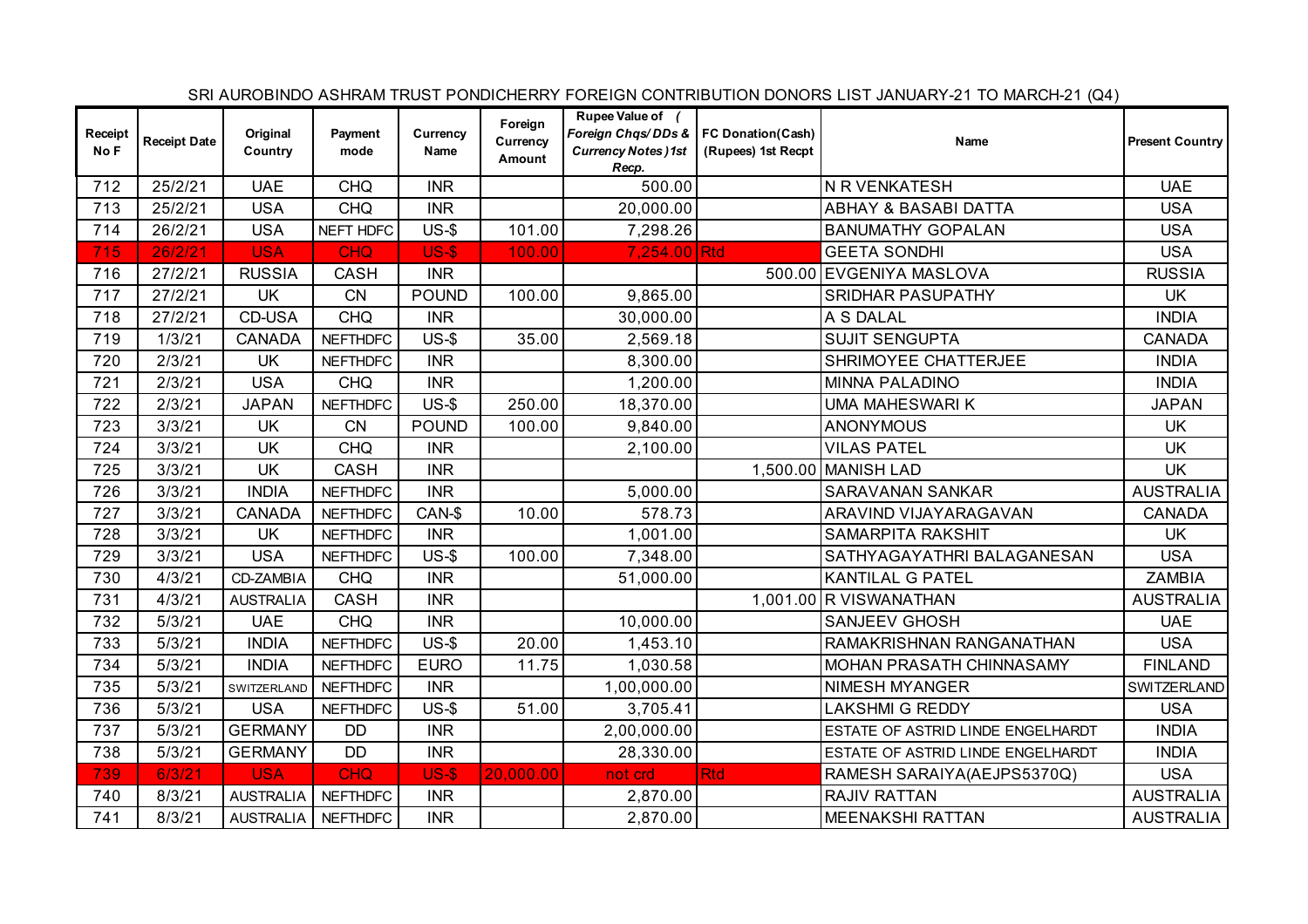|                 |                     |                      |                 |                  |                               |                                                                                                  |                    | SRI AUROBINDO ASHRAM TRUST PONDICHERRY FOREIGN CONTRIBUTION DONORS LIST JANUARY-21 TO MARCH-21 (Q4) |                        |
|-----------------|---------------------|----------------------|-----------------|------------------|-------------------------------|--------------------------------------------------------------------------------------------------|--------------------|-----------------------------------------------------------------------------------------------------|------------------------|
| Receipt<br>No F | <b>Receipt Date</b> | Original<br>Country  | Payment<br>mode | Currency<br>Name | Foreign<br>Currency<br>Amount | Rupee Value of (<br>Foreign Chqs/DDs &   FC Donation(Cash)<br><b>Currency Notes)1st</b><br>Recp. | (Rupees) 1st Recpt | Name                                                                                                | <b>Present Country</b> |
| 712             | 25/2/21             | <b>UAE</b>           | <b>CHQ</b>      | <b>INR</b>       |                               | 500.00                                                                                           |                    | N R VENKATESH                                                                                       | <b>UAE</b>             |
| 713             | 25/2/21             | <b>USA</b>           | <b>CHQ</b>      | <b>INR</b>       |                               | 20,000.00                                                                                        |                    | <b>ABHAY &amp; BASABI DATTA</b>                                                                     | <b>USA</b>             |
| 714             | 26/2/21             | <b>USA</b>           | NEFT HDFC       | $US-5$           | 101.00                        | 7,298.26                                                                                         |                    | <b>BANUMATHY GOPALAN</b>                                                                            | <b>USA</b>             |
| 715             | 26/2/21             | <b>USA</b>           | <b>CHQ</b>      | $US-5$           | 100.00                        | 7,254.00 Rtd                                                                                     |                    | <b>GEETA SONDHI</b>                                                                                 | <b>USA</b>             |
| 716             | 27/2/21             | <b>RUSSIA</b>        | CASH            | <b>INR</b>       |                               |                                                                                                  |                    | 500.00 EVGENIYA MASLOVA                                                                             | <b>RUSSIA</b>          |
| 717             | 27/2/21             | UK                   | <b>CN</b>       | <b>POUND</b>     | 100.00                        | 9,865.00                                                                                         |                    | SRIDHAR PASUPATHY                                                                                   | <b>UK</b>              |
| 718             | 27/2/21             | CD-USA               | <b>CHQ</b>      | <b>INR</b>       |                               | 30,000.00                                                                                        |                    | A S DALAL                                                                                           | <b>INDIA</b>           |
| 719             | 1/3/21              | <b>CANADA</b>        | <b>NEFTHDFC</b> | $US-5$           | 35.00                         | 2,569.18                                                                                         |                    | <b>SUJIT SENGUPTA</b>                                                                               | <b>CANADA</b>          |
| 720             | 2/3/21              | UK                   | <b>NEFTHDFC</b> | <b>INR</b>       |                               | 8,300.00                                                                                         |                    | SHRIMOYEE CHATTERJEE                                                                                | <b>INDIA</b>           |
| 721             | 2/3/21              | <b>USA</b>           | <b>CHQ</b>      | <b>INR</b>       |                               | 1,200.00                                                                                         |                    | <b>MINNA PALADINO</b>                                                                               | <b>INDIA</b>           |
| 722             | 2/3/21              | <b>JAPAN</b>         | <b>NEFTHDFC</b> | $US-5$           | 250.00                        | 18,370.00                                                                                        |                    | UMA MAHESWARI K                                                                                     | <b>JAPAN</b>           |
| 723             | 3/3/21              | UK                   | <b>CN</b>       | <b>POUND</b>     | 100.00                        | 9,840.00                                                                                         |                    | <b>ANONYMOUS</b>                                                                                    | <b>UK</b>              |
| 724             | 3/3/21              | <b>UK</b>            | <b>CHQ</b>      | <b>INR</b>       |                               | 2,100.00                                                                                         |                    | <b>VILAS PATEL</b>                                                                                  | <b>UK</b>              |
| 725             | 3/3/21              | <b>UK</b>            | <b>CASH</b>     | <b>INR</b>       |                               |                                                                                                  |                    | 1,500.00 MANISH LAD                                                                                 | <b>UK</b>              |
| 726             | 3/3/21              | <b>INDIA</b>         | <b>NEFTHDFC</b> | <b>INR</b>       |                               | 5,000.00                                                                                         |                    | <b>SARAVANAN SANKAR</b>                                                                             | <b>AUSTRALIA</b>       |
| 727             | 3/3/21              | <b>CANADA</b>        | <b>NEFTHDFC</b> | CAN-\$           | 10.00                         | 578.73                                                                                           |                    | ARAVIND VIJAYARAGAVAN                                                                               | <b>CANADA</b>          |
| 728             | 3/3/21              | <b>UK</b>            | <b>NEFTHDFC</b> | <b>INR</b>       |                               | 1,001.00                                                                                         |                    | SAMARPITA RAKSHIT                                                                                   | <b>UK</b>              |
| 729             | 3/3/21              | <b>USA</b>           | <b>NEFTHDFC</b> | $US-5$           | 100.00                        | 7,348.00                                                                                         |                    | SATHYAGAYATHRI BALAGANESAN                                                                          | <b>USA</b>             |
| 730             | 4/3/21              | CD-ZAMBIA            | <b>CHQ</b>      | <b>INR</b>       |                               | 51,000.00                                                                                        |                    | <b>KANTILAL G PATEL</b>                                                                             | <b>ZAMBIA</b>          |
| 731             | 4/3/21              | <b>AUSTRALIA</b>     | <b>CASH</b>     | <b>INR</b>       |                               |                                                                                                  |                    | 1,001.00 R VISWANATHAN                                                                              | <b>AUSTRALIA</b>       |
| 732             | 5/3/21              | <b>UAE</b>           | <b>CHQ</b>      | <b>INR</b>       |                               | 10,000.00                                                                                        |                    | <b>SANJEEV GHOSH</b>                                                                                | <b>UAE</b>             |
| 733             | 5/3/21              | <b>INDIA</b>         | <b>NEFTHDFC</b> | $US-5$           | 20.00                         | 1,453.10                                                                                         |                    | RAMAKRISHNAN RANGANATHAN                                                                            | <b>USA</b>             |
| 734             | 5/3/21              | <b>INDIA</b>         | <b>NEFTHDFC</b> | <b>EURO</b>      | 11.75                         | 1,030.58                                                                                         |                    | MOHAN PRASATH CHINNASAMY                                                                            | <b>FINLAND</b>         |
| 735             | 5/3/21              | SWITZERLAND          | <b>NEFTHDFC</b> | <b>INR</b>       |                               | 1,00,000.00                                                                                      |                    | NIMESH MYANGER                                                                                      | SWITZERLAND            |
| 736             | 5/3/21              | <b>USA</b>           | <b>NEFTHDFC</b> | $US-5$           | 51.00                         | 3,705.41                                                                                         |                    | LAKSHMI G REDDY                                                                                     | <b>USA</b>             |
| 737             | 5/3/21              | <b>GERMANY</b>       | <b>DD</b>       | <b>INR</b>       |                               | 2,00,000.00                                                                                      |                    | ESTATE OF ASTRID LINDE ENGELHARDT                                                                   | <b>INDIA</b>           |
| 738             | 5/3/21              | <b>GERMANY</b>       | <b>DD</b>       | <b>INR</b>       |                               | 28,330.00                                                                                        |                    | ESTATE OF ASTRID LINDE ENGELHARDT                                                                   | <b>INDIA</b>           |
| 739             | 6/3/21              | <b>USA</b>           | <b>CHQ</b>      | <b>US-\$</b>     | 20,000.00                     | not crd                                                                                          | <b>Rtd</b>         | RAMESH SARAIYA(AEJPS5370Q)                                                                          | <b>USA</b>             |
| 740             | 8/3/21              | <b>AUSTRALIA</b>     | <b>NEFTHDFC</b> | <b>INR</b>       |                               | 2,870.00                                                                                         |                    | <b>RAJIV RATTAN</b>                                                                                 | <b>AUSTRALIA</b>       |
| 741             | 8/3/21              | AUSTRALIA   NEFTHDFC |                 | <b>INR</b>       |                               | 2,870.00                                                                                         |                    | <b>MEENAKSHI RATTAN</b>                                                                             | <b>AUSTRALIA</b>       |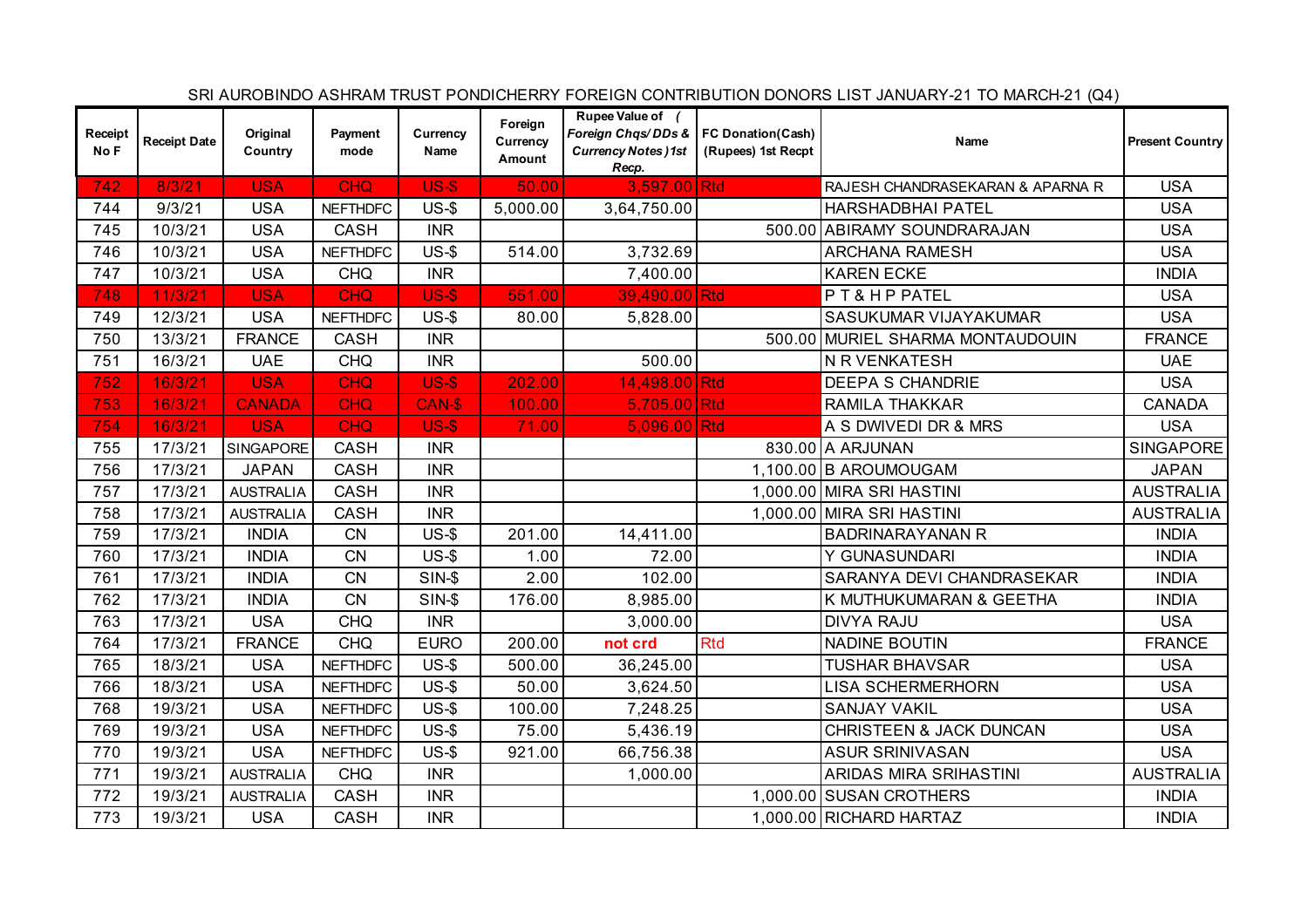|                 |                     |                     |                 |                  |                               |                                                                                                  |                    | SRI AUROBINDO ASHRAM TRUST PONDICHERRY FOREIGN CONTRIBUTION DONORS LIST JANUARY-21 TO MARCH-21 (Q4) |                        |
|-----------------|---------------------|---------------------|-----------------|------------------|-------------------------------|--------------------------------------------------------------------------------------------------|--------------------|-----------------------------------------------------------------------------------------------------|------------------------|
| Receipt<br>No F | <b>Receipt Date</b> | Original<br>Country | Payment<br>mode | Currency<br>Name | Foreign<br>Currency<br>Amount | Rupee Value of (<br>Foreign Chas/DDs &   FC Donation(Cash)<br><b>Currency Notes)1st</b><br>Recp. | (Rupees) 1st Recpt | Name                                                                                                | <b>Present Country</b> |
| 742             | 8/3/21              | <b>USA</b>          | <b>CHQ</b>      | $US-5$           | 50.00                         | 3,597.00 Rtd                                                                                     |                    | RAJESH CHANDRASEKARAN & APARNA R                                                                    | <b>USA</b>             |
| 744             | 9/3/21              | <b>USA</b>          | <b>NEFTHDFC</b> | $US-5$           | 5,000.00                      | 3,64,750.00                                                                                      |                    | HARSHADBHAI PATEL                                                                                   | <b>USA</b>             |
| 745             | 10/3/21             | <b>USA</b>          | CASH            | <b>INR</b>       |                               |                                                                                                  |                    | 500.00 ABIRAMY SOUNDRARAJAN                                                                         | <b>USA</b>             |
| 746             | 10/3/21             | <b>USA</b>          | <b>NEFTHDFC</b> | $US-5$           | 514.00                        | 3,732.69                                                                                         |                    | <b>ARCHANA RAMESH</b>                                                                               | <b>USA</b>             |
| 747             | 10/3/21             | <b>USA</b>          | <b>CHQ</b>      | <b>INR</b>       |                               | 7,400.00                                                                                         |                    | <b>KAREN ECKE</b>                                                                                   | <b>INDIA</b>           |
| 748             | 11/3/21             | <b>USA</b>          | <b>CHQ</b>      | <b>US-\$</b>     | 551.00                        | 39,490.00 Rtd                                                                                    |                    | PT& HP PATEL                                                                                        | <b>USA</b>             |
| 749             | 12/3/21             | <b>USA</b>          | <b>NEFTHDFC</b> | $US-5$           | 80.00                         | 5,828.00                                                                                         |                    | SASUKUMAR VIJAYAKUMAR                                                                               | <b>USA</b>             |
| 750             | 13/3/21             | <b>FRANCE</b>       | <b>CASH</b>     | <b>INR</b>       |                               |                                                                                                  |                    | 500.00 MURIEL SHARMA MONTAUDOUIN                                                                    | <b>FRANCE</b>          |
| 751             | 16/3/21             | <b>UAE</b>          | <b>CHQ</b>      | <b>INR</b>       |                               | 500.00                                                                                           |                    | N R VENKATESH                                                                                       | <b>UAE</b>             |
| 752             | 16/3/21             | <b>USA</b>          | <b>CHQ</b>      | $US-5$           | 202.00                        | 14,498.00 Rtd                                                                                    |                    | <b>DEEPA S CHANDRIE</b>                                                                             | <b>USA</b>             |
| 753             | 16/3/21             | <b>CANADA</b>       | <b>CHQ</b>      | CAN-\$           | 100.00                        | 5,705.00 Rtd                                                                                     |                    | RAMILA THAKKAR                                                                                      | <b>CANADA</b>          |
| 754             | 16/3/21             | <b>USA</b>          | <b>CHQ</b>      | <b>US-\$</b>     | 71.00                         | $5,096.00$ Rtd                                                                                   |                    | A S DWIVEDI DR & MRS                                                                                | <b>USA</b>             |
| 755             | 17/3/21             | SINGAPORE           | CASH            | <b>INR</b>       |                               |                                                                                                  |                    | 830.00 A ARJUNAN                                                                                    | <b>SINGAPORE</b>       |
| 756             | 17/3/21             | <b>JAPAN</b>        | <b>CASH</b>     | <b>INR</b>       |                               |                                                                                                  |                    | 1,100.00 B AROUMOUGAM                                                                               | <b>JAPAN</b>           |
| 757             | 17/3/21             | <b>AUSTRALIA</b>    | <b>CASH</b>     | <b>INR</b>       |                               |                                                                                                  |                    | 1,000.00 MIRA SRI HASTINI                                                                           | <b>AUSTRALIA</b>       |
| 758             | 17/3/21             | <b>AUSTRALIA</b>    | <b>CASH</b>     | <b>INR</b>       |                               |                                                                                                  |                    | 1,000.00 MIRA SRI HASTINI                                                                           | <b>AUSTRALIA</b>       |
| 759             | 17/3/21             | <b>INDIA</b>        | <b>CN</b>       | $US-5$           | 201.00                        | 14,411.00                                                                                        |                    | <b>BADRINARAYANAN R</b>                                                                             | <b>INDIA</b>           |
| 760             | 17/3/21             | <b>INDIA</b>        | CN              | $US-5$           | 1.00                          | 72.00                                                                                            |                    | Y GUNASUNDARI                                                                                       | <b>INDIA</b>           |
| 761             | 17/3/21             | <b>INDIA</b>        | <b>CN</b>       | $SIN-5$          | 2.00                          | 102.00                                                                                           |                    | SARANYA DEVI CHANDRASEKAR                                                                           | <b>INDIA</b>           |
| 762             | 17/3/21             | <b>INDIA</b>        | CN              | $SIN-5$          | 176.00                        | 8,985.00                                                                                         |                    | K MUTHUKUMARAN & GEETHA                                                                             | <b>INDIA</b>           |
| 763             | 17/3/21             | <b>USA</b>          | <b>CHQ</b>      | <b>INR</b>       |                               | 3,000.00                                                                                         |                    | <b>DIVYA RAJU</b>                                                                                   | <b>USA</b>             |
| 764             | 17/3/21             | <b>FRANCE</b>       | <b>CHQ</b>      | <b>EURO</b>      | 200.00                        | not crd                                                                                          | <b>Rtd</b>         | <b>NADINE BOUTIN</b>                                                                                | <b>FRANCE</b>          |
| 765             | 18/3/21             | <b>USA</b>          | <b>NEFTHDFC</b> | $US-5$           | 500.00                        | 36,245.00                                                                                        |                    | <b>TUSHAR BHAVSAR</b>                                                                               | <b>USA</b>             |
| 766             | 18/3/21             | <b>USA</b>          | <b>NEFTHDFC</b> | $US-5$           | 50.00                         | 3,624.50                                                                                         |                    | <b>LISA SCHERMERHORN</b>                                                                            | <b>USA</b>             |
| 768             | 19/3/21             | <b>USA</b>          | <b>NEFTHDFC</b> | $US-5$           | 100.00                        | 7,248.25                                                                                         |                    | <b>SANJAY VAKIL</b>                                                                                 | <b>USA</b>             |
| 769             | 19/3/21             | <b>USA</b>          | <b>NEFTHDFC</b> | $US-5$           | 75.00                         | 5,436.19                                                                                         |                    | <b>CHRISTEEN &amp; JACK DUNCAN</b>                                                                  | <b>USA</b>             |
| 770             | 19/3/21             | <b>USA</b>          | <b>NEFTHDFC</b> | $US-5$           | 921.00                        | 66,756.38                                                                                        |                    | <b>ASUR SRINIVASAN</b>                                                                              | <b>USA</b>             |
| 771             | 19/3/21             | <b>AUSTRALIA</b>    | <b>CHQ</b>      | <b>INR</b>       |                               | 1,000.00                                                                                         |                    | ARIDAS MIRA SRIHASTINI                                                                              | <b>AUSTRALIA</b>       |
| 772             | 19/3/21             | <b>AUSTRALIA</b>    | <b>CASH</b>     | <b>INR</b>       |                               |                                                                                                  |                    | 1,000.00 SUSAN CROTHERS                                                                             | <b>INDIA</b>           |
| 773             | 19/3/21             | <b>USA</b>          | <b>CASH</b>     | <b>INR</b>       |                               |                                                                                                  |                    | 1,000.00 RICHARD HARTAZ                                                                             | <b>INDIA</b>           |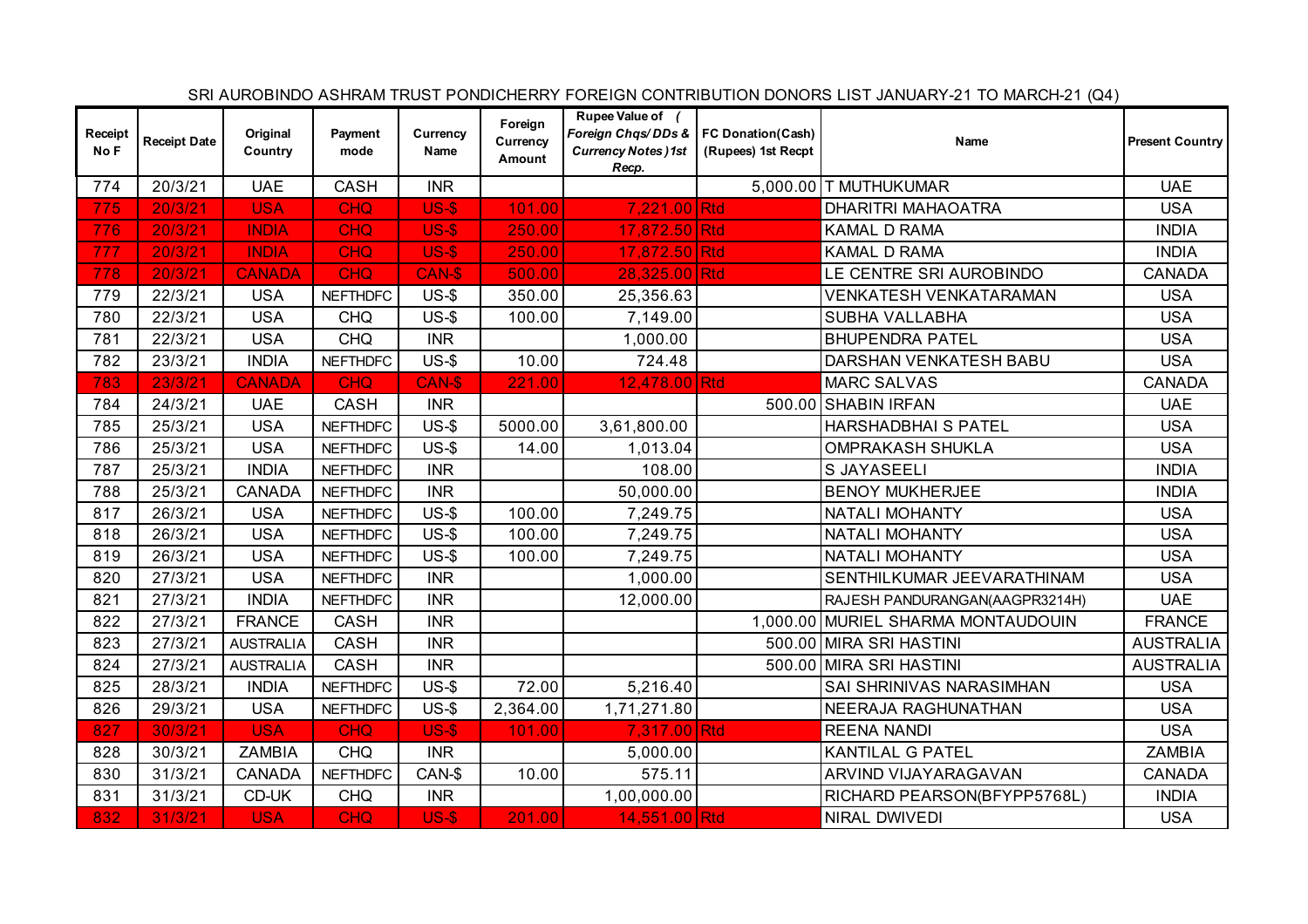|                 |                     |                     |                 |                  |                               |                                                                                                  |                    | SRI AUROBINDO ASHRAM TRUST PONDICHERRY FOREIGN CONTRIBUTION DONORS LIST JANUARY-21 TO MARCH-21 (Q4) |                        |
|-----------------|---------------------|---------------------|-----------------|------------------|-------------------------------|--------------------------------------------------------------------------------------------------|--------------------|-----------------------------------------------------------------------------------------------------|------------------------|
| Receipt<br>No F | <b>Receipt Date</b> | Original<br>Country | Payment<br>mode | Currency<br>Name | Foreign<br>Currency<br>Amount | Rupee Value of (<br>Foreign Chqs/DDs &   FC Donation(Cash)<br><b>Currency Notes)1st</b><br>Recp. | (Rupees) 1st Recpt | Name                                                                                                | <b>Present Country</b> |
| 774             | 20/3/21             | <b>UAE</b>          | CASH            | <b>INR</b>       |                               |                                                                                                  |                    | 5,000.00 T MUTHUKUMAR                                                                               | <b>UAE</b>             |
| 775             | 20/3/21             | <b>USA</b>          | <b>CHQ</b>      | <b>US-\$</b>     | 101.00                        | 7,221.00 Rtd                                                                                     |                    | <b>DHARITRI MAHAOATRA</b>                                                                           | <b>USA</b>             |
| 776             | 20/3/21             | <b>INDIA</b>        | <b>CHQ</b>      | $US-5$           | 250.00                        | 17,872.50 Rtd                                                                                    |                    | KAMAL D RAMA                                                                                        | <b>INDIA</b>           |
| 777             | 20/3/21             | <b>INDIA</b>        | <b>CHQ</b>      | <b>US-\$</b>     | 250.00                        | 17,872.50 Rtd                                                                                    |                    | KAMAL D RAMA                                                                                        | <b>INDIA</b>           |
| 778             | 20/3/21             | <b>CANADA</b>       | <b>CHQ</b>      | CAN-\$           | 500.00                        | 28,325.00 Rtd                                                                                    |                    | LE CENTRE SRI AUROBINDO                                                                             | <b>CANADA</b>          |
| 779             | 22/3/21             | <b>USA</b>          | <b>NEFTHDFC</b> | $US-5$           | 350.00                        | 25,356.63                                                                                        |                    | VENKATESH VENKATARAMAN                                                                              | <b>USA</b>             |
| 780             | 22/3/21             | <b>USA</b>          | <b>CHQ</b>      | $US-5$           | 100.00                        | 7,149.00                                                                                         |                    | SUBHA VALLABHA                                                                                      | <b>USA</b>             |
| 781             | 22/3/21             | <b>USA</b>          | <b>CHQ</b>      | <b>INR</b>       |                               | 1,000.00                                                                                         |                    | <b>BHUPENDRA PATEL</b>                                                                              | <b>USA</b>             |
| 782             | 23/3/21             | <b>INDIA</b>        | <b>NEFTHDFC</b> | $US-5$           | 10.00                         | 724.48                                                                                           |                    | DARSHAN VENKATESH BABU                                                                              | <b>USA</b>             |
| 783             | 23/3/21             | <b>CANADA</b>       | <b>CHQ</b>      | CAN-\$           | 221.00                        | 12,478.00 Rtd                                                                                    |                    | <b>MARC SALVAS</b>                                                                                  | <b>CANADA</b>          |
| 784             | 24/3/21             | <b>UAE</b>          | CASH            | <b>INR</b>       |                               |                                                                                                  |                    | 500.00 SHABIN IRFAN                                                                                 | <b>UAE</b>             |
| 785             | 25/3/21             | <b>USA</b>          | <b>NEFTHDFC</b> | $US-5$           | 5000.00                       | 3,61,800.00                                                                                      |                    | HARSHADBHAI S PATEL                                                                                 | <b>USA</b>             |
| 786             | 25/3/21             | <b>USA</b>          | <b>NEFTHDFC</b> | $US-5$           | 14.00                         | 1,013.04                                                                                         |                    | <b>OMPRAKASH SHUKLA</b>                                                                             | <b>USA</b>             |
| 787             | 25/3/21             | <b>INDIA</b>        | <b>NEFTHDFC</b> | <b>INR</b>       |                               | 108.00                                                                                           |                    | S JAYASEELI                                                                                         | <b>INDIA</b>           |
| 788             | 25/3/21             | <b>CANADA</b>       | <b>NEFTHDFC</b> | <b>INR</b>       |                               | 50,000.00                                                                                        |                    | <b>BENOY MUKHERJEE</b>                                                                              | <b>INDIA</b>           |
| 817             | 26/3/21             | <b>USA</b>          | <b>NEFTHDFC</b> | $US-5$           | 100.00                        | 7,249.75                                                                                         |                    | <b>NATALI MOHANTY</b>                                                                               | <b>USA</b>             |
| 818             | 26/3/21             | <b>USA</b>          | <b>NEFTHDFC</b> | $US-5$           | 100.00                        | 7,249.75                                                                                         |                    | <b>NATALI MOHANTY</b>                                                                               | <b>USA</b>             |
| 819             | 26/3/21             | <b>USA</b>          | <b>NEFTHDFC</b> | $US-5$           | 100.00                        | 7,249.75                                                                                         |                    | <b>NATALI MOHANTY</b>                                                                               | <b>USA</b>             |
| 820             | 27/3/21             | <b>USA</b>          | <b>NEFTHDFC</b> | <b>INR</b>       |                               | 1,000.00                                                                                         |                    | SENTHILKUMAR JEEVARATHINAM                                                                          | <b>USA</b>             |
| 821             | 27/3/21             | <b>INDIA</b>        | <b>NEFTHDFC</b> | <b>INR</b>       |                               | 12,000.00                                                                                        |                    | RAJESH PANDURANGAN(AAGPR3214H)                                                                      | <b>UAE</b>             |
| 822             | 27/3/21             | <b>FRANCE</b>       | CASH            | <b>INR</b>       |                               |                                                                                                  |                    | 1,000.00 MURIEL SHARMA MONTAUDOUIN                                                                  | <b>FRANCE</b>          |
| 823             | 27/3/21             | <b>AUSTRALIA</b>    | CASH            | <b>INR</b>       |                               |                                                                                                  |                    | 500.00 MIRA SRI HASTINI                                                                             | <b>AUSTRALIA</b>       |
| 824             | 27/3/21             | <b>AUSTRALIA</b>    | CASH            | <b>INR</b>       |                               |                                                                                                  | 500.00             | MIRA SRI HASTINI                                                                                    | <b>AUSTRALIA</b>       |
| 825             | 28/3/21             | <b>INDIA</b>        | <b>NEFTHDFC</b> | $US-5$           | 72.00                         | 5,216.40                                                                                         |                    | SAI SHRINIVAS NARASIMHAN                                                                            | <b>USA</b>             |
| 826             | 29/3/21             | <b>USA</b>          | <b>NEFTHDFC</b> | $US-5$           | 2,364.00                      | 1,71,271.80                                                                                      |                    | NEERAJA RAGHUNATHAN                                                                                 | <b>USA</b>             |
| 827             | 30/3/21             | <b>USA</b>          | <b>CHQ</b>      | <b>US-\$</b>     | 101.00                        | 7,317.00 Rtd                                                                                     |                    | <b>REENA NANDI</b>                                                                                  | <b>USA</b>             |
| 828             | 30/3/21             | <b>ZAMBIA</b>       | <b>CHQ</b>      | <b>INR</b>       |                               | 5,000.00                                                                                         |                    | <b>KANTILAL G PATEL</b>                                                                             | <b>ZAMBIA</b>          |
| 830             | 31/3/21             | <b>CANADA</b>       | <b>NEFTHDFC</b> | CAN-\$           | 10.00                         | 575.11                                                                                           |                    | ARVIND VIJAYARAGAVAN                                                                                | <b>CANADA</b>          |
| 831             | 31/3/21             | CD-UK               | <b>CHQ</b>      | <b>INR</b>       |                               | 1,00,000.00                                                                                      |                    | RICHARD PEARSON(BFYPP5768L)                                                                         | <b>INDIA</b>           |
| 832             | 31/3/21             | <b>USA</b>          | <b>CHQ</b>      | $US-5$           | 201.00                        | 14,551.00 Rtd                                                                                    |                    | NIRAL DWIVEDI                                                                                       | <b>USA</b>             |